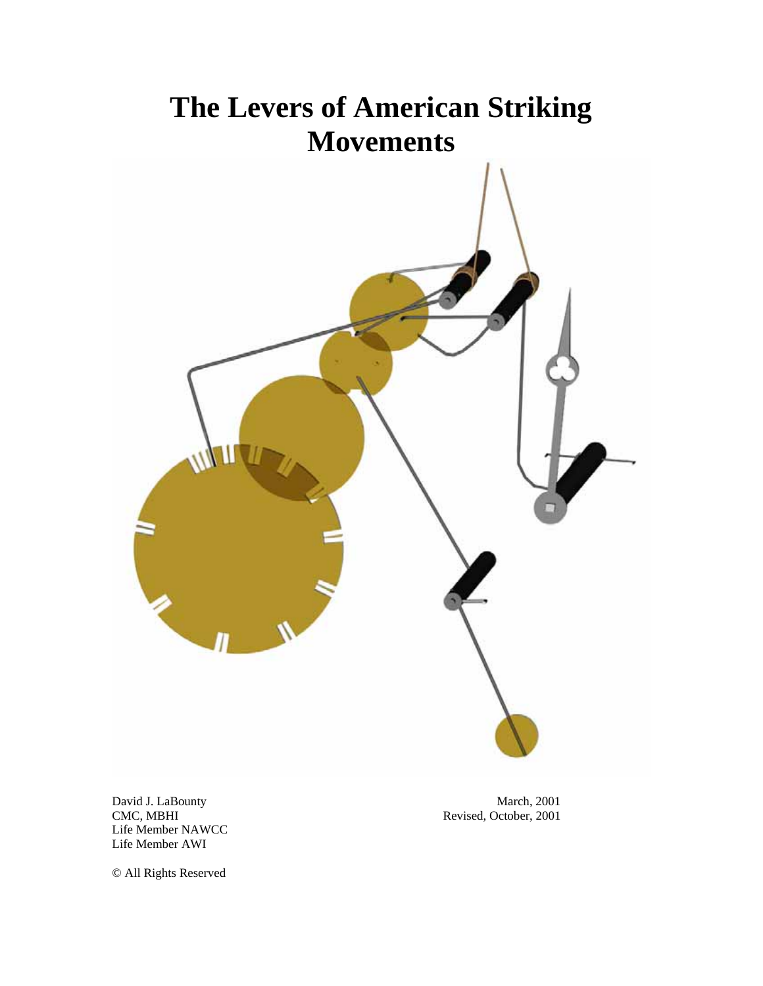# **The Levers of American Striking Movements**

David J. LaBounty<br>
CMC, MBHI
March, 2001
Revised, October, 2001 Life Member NAWCC Life Member AWI

Revised, October, 2001

© All Rights Reserved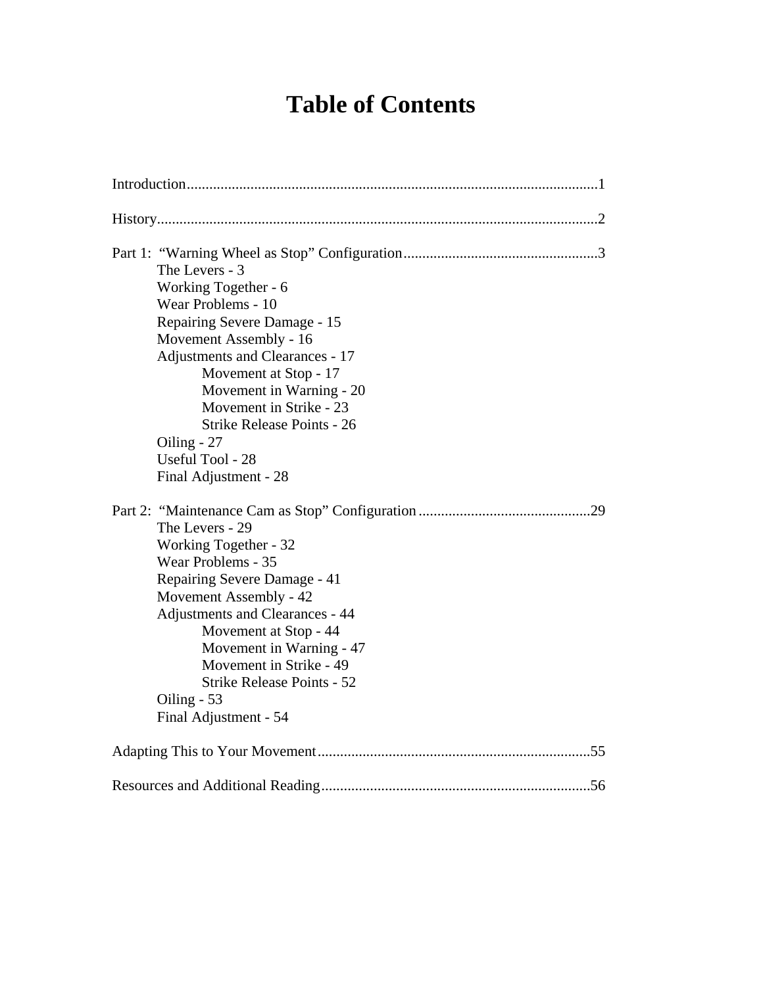# **Table of Contents**

| The Levers - 3<br>Working Together - 6<br>Wear Problems - 10<br>Repairing Severe Damage - 15<br>Movement Assembly - 16<br>Adjustments and Clearances - 17<br>Movement at Stop - 17<br>Movement in Warning - 20<br>Movement in Strike - 23<br><b>Strike Release Points - 26</b><br>Oiling - 27<br>Useful Tool - 28<br>Final Adjustment - 28 |
|--------------------------------------------------------------------------------------------------------------------------------------------------------------------------------------------------------------------------------------------------------------------------------------------------------------------------------------------|
| The Levers - 29<br>Working Together - 32<br>Wear Problems - 35<br>Repairing Severe Damage - 41<br>Movement Assembly - 42<br>Adjustments and Clearances - 44<br>Movement at Stop - 44<br>Movement in Warning - 47<br>Movement in Strike - 49<br><b>Strike Release Points - 52</b><br>Oiling $-53$<br>Final Adjustment - 54                  |
|                                                                                                                                                                                                                                                                                                                                            |
|                                                                                                                                                                                                                                                                                                                                            |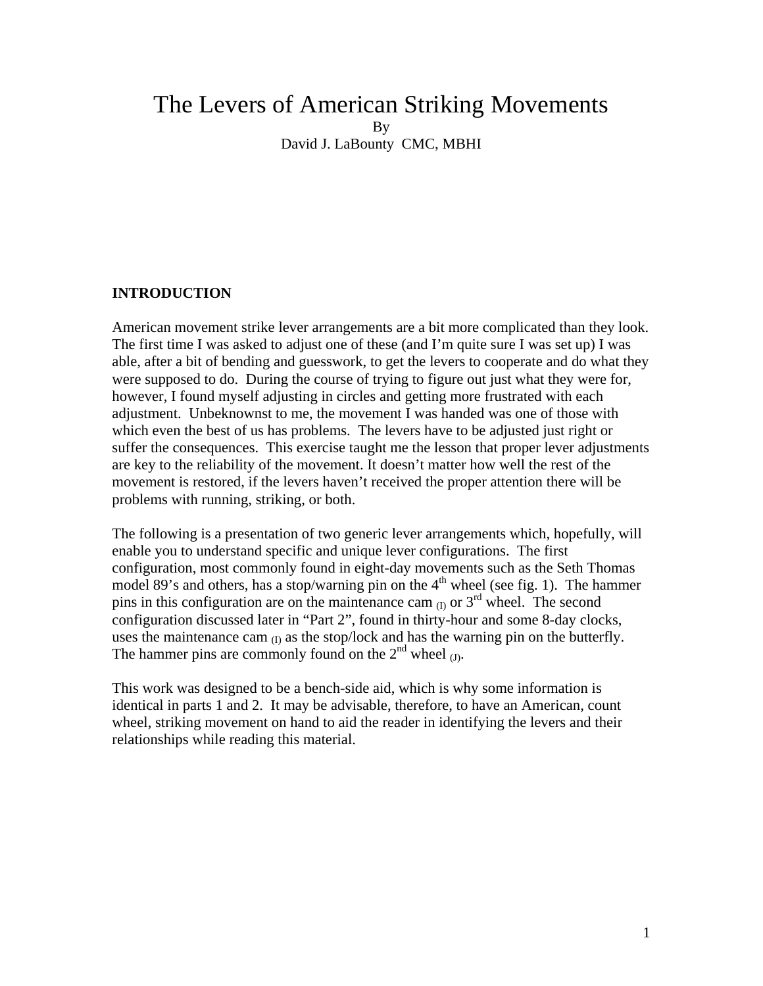# The Levers of American Striking Movements By David J. LaBounty CMC, MBHI

# **INTRODUCTION**

American movement strike lever arrangements are a bit more complicated than they look. The first time I was asked to adjust one of these (and I'm quite sure I was set up) I was able, after a bit of bending and guesswork, to get the levers to cooperate and do what they were supposed to do. During the course of trying to figure out just what they were for, however, I found myself adjusting in circles and getting more frustrated with each adjustment. Unbeknownst to me, the movement I was handed was one of those with which even the best of us has problems. The levers have to be adjusted just right or suffer the consequences. This exercise taught me the lesson that proper lever adjustments are key to the reliability of the movement. It doesn't matter how well the rest of the movement is restored, if the levers haven't received the proper attention there will be problems with running, striking, or both.

The following is a presentation of two generic lever arrangements which, hopefully, will enable you to understand specific and unique lever configurations. The first configuration, most commonly found in eight-day movements such as the Seth Thomas model 89's and others, has a stop/warning pin on the  $4<sup>th</sup>$  wheel (see fig. 1). The hammer pins in this configuration are on the maintenance cam  $_{(I)}$  or  $3^{rd}$  wheel. The second configuration discussed later in "Part 2", found in thirty-hour and some 8-day clocks, uses the maintenance cam  $_{(I)}$  as the stop/lock and has the warning pin on the butterfly. The hammer pins are commonly found on the  $2<sup>nd</sup>$  wheel  $_{(1)}$ .

This work was designed to be a bench-side aid, which is why some information is identical in parts 1 and 2. It may be advisable, therefore, to have an American, count wheel, striking movement on hand to aid the reader in identifying the levers and their relationships while reading this material.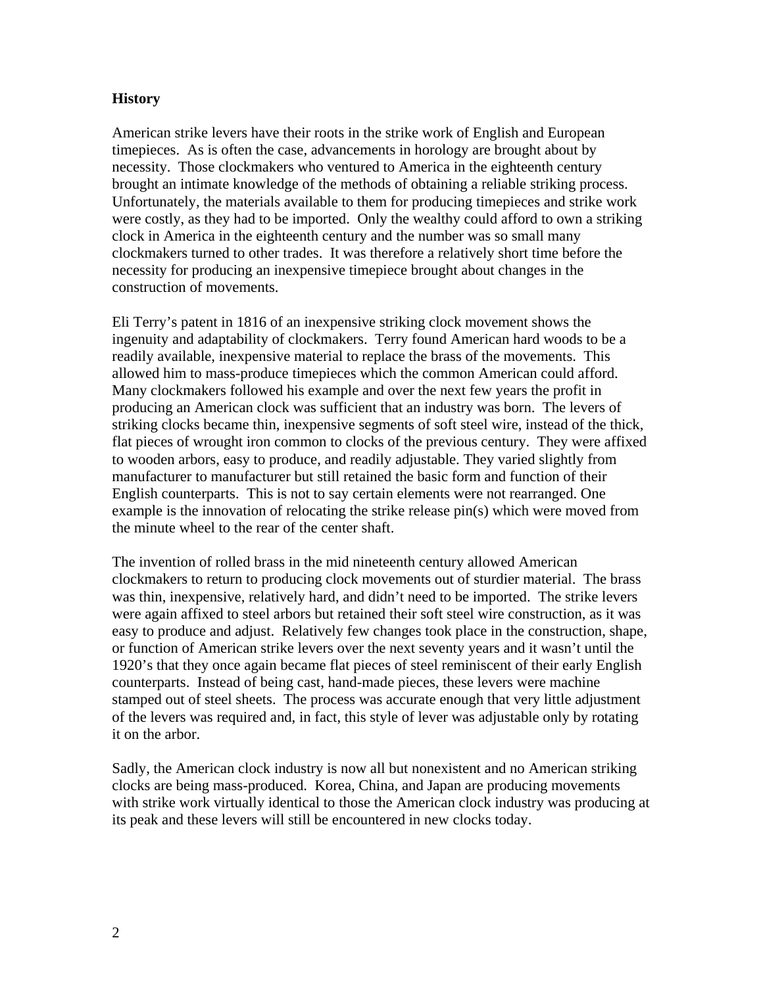# **History**

American strike levers have their roots in the strike work of English and European timepieces. As is often the case, advancements in horology are brought about by necessity. Those clockmakers who ventured to America in the eighteenth century brought an intimate knowledge of the methods of obtaining a reliable striking process. Unfortunately, the materials available to them for producing timepieces and strike work were costly, as they had to be imported. Only the wealthy could afford to own a striking clock in America in the eighteenth century and the number was so small many clockmakers turned to other trades. It was therefore a relatively short time before the necessity for producing an inexpensive timepiece brought about changes in the construction of movements.

Eli Terry's patent in 1816 of an inexpensive striking clock movement shows the ingenuity and adaptability of clockmakers. Terry found American hard woods to be a readily available, inexpensive material to replace the brass of the movements. This allowed him to mass-produce timepieces which the common American could afford. Many clockmakers followed his example and over the next few years the profit in producing an American clock was sufficient that an industry was born. The levers of striking clocks became thin, inexpensive segments of soft steel wire, instead of the thick, flat pieces of wrought iron common to clocks of the previous century. They were affixed to wooden arbors, easy to produce, and readily adjustable. They varied slightly from manufacturer to manufacturer but still retained the basic form and function of their English counterparts. This is not to say certain elements were not rearranged. One example is the innovation of relocating the strike release pin(s) which were moved from the minute wheel to the rear of the center shaft.

The invention of rolled brass in the mid nineteenth century allowed American clockmakers to return to producing clock movements out of sturdier material. The brass was thin, inexpensive, relatively hard, and didn't need to be imported. The strike levers were again affixed to steel arbors but retained their soft steel wire construction, as it was easy to produce and adjust. Relatively few changes took place in the construction, shape, or function of American strike levers over the next seventy years and it wasn't until the 1920's that they once again became flat pieces of steel reminiscent of their early English counterparts. Instead of being cast, hand-made pieces, these levers were machine stamped out of steel sheets. The process was accurate enough that very little adjustment of the levers was required and, in fact, this style of lever was adjustable only by rotating it on the arbor.

Sadly, the American clock industry is now all but nonexistent and no American striking clocks are being mass-produced. Korea, China, and Japan are producing movements with strike work virtually identical to those the American clock industry was producing at its peak and these levers will still be encountered in new clocks today.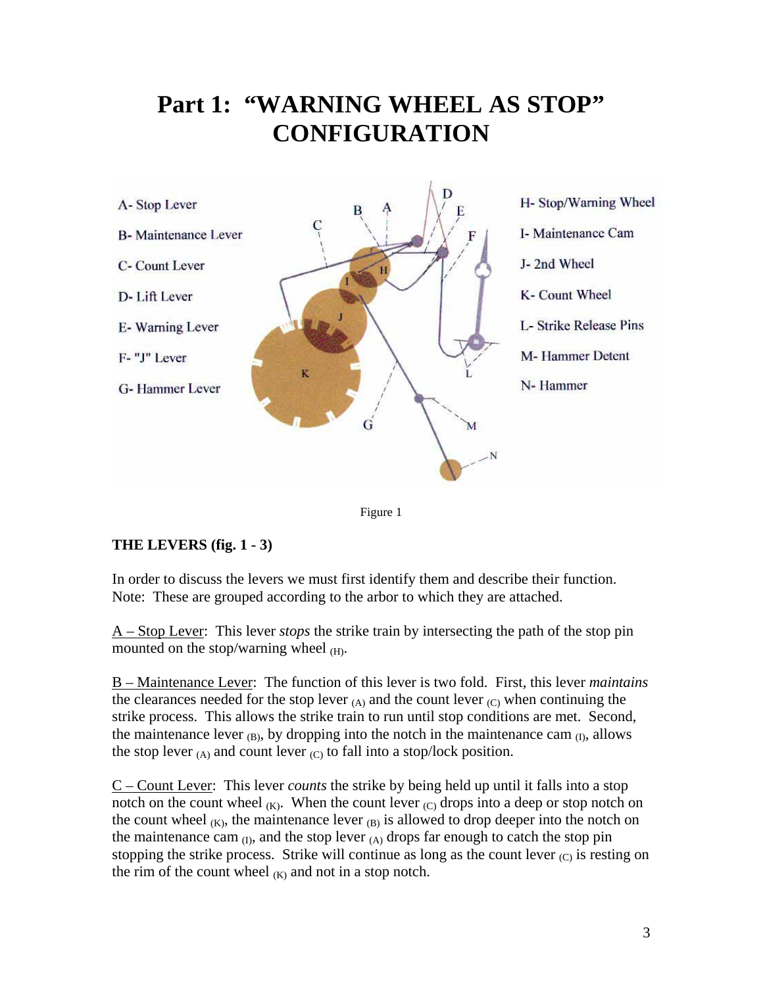# **Part 1: "WARNING WHEEL AS STOP" CONFIGURATION**





# **THE LEVERS (fig. 1 - 3)**

In order to discuss the levers we must first identify them and describe their function. Note: These are grouped according to the arbor to which they are attached.

A – Stop Lever: This lever *stops* the strike train by intersecting the path of the stop pin mounted on the stop/warning wheel  $(H)$ .

B – Maintenance Lever: The function of this lever is two fold. First, this lever *maintains* the clearances needed for the stop lever  $(A)$  and the count lever  $(C)$  when continuing the strike process. This allows the strike train to run until stop conditions are met. Second, the maintenance lever  $_{(B)}$ , by dropping into the notch in the maintenance cam  $_{(I)}$ , allows the stop lever  $(A)$  and count lever  $(C)$  to fall into a stop/lock position.

C – Count Lever: This lever *counts* the strike by being held up until it falls into a stop notch on the count wheel  $(K)$ . When the count lever  $(C)$  drops into a deep or stop notch on the count wheel  $(K)$ , the maintenance lever  $(B)$  is allowed to drop deeper into the notch on the maintenance cam  $_{(I)}$ , and the stop lever  $_{(A)}$  drops far enough to catch the stop pin stopping the strike process. Strike will continue as long as the count lever  $(C)$  is resting on the rim of the count wheel  $(K)$  and not in a stop notch.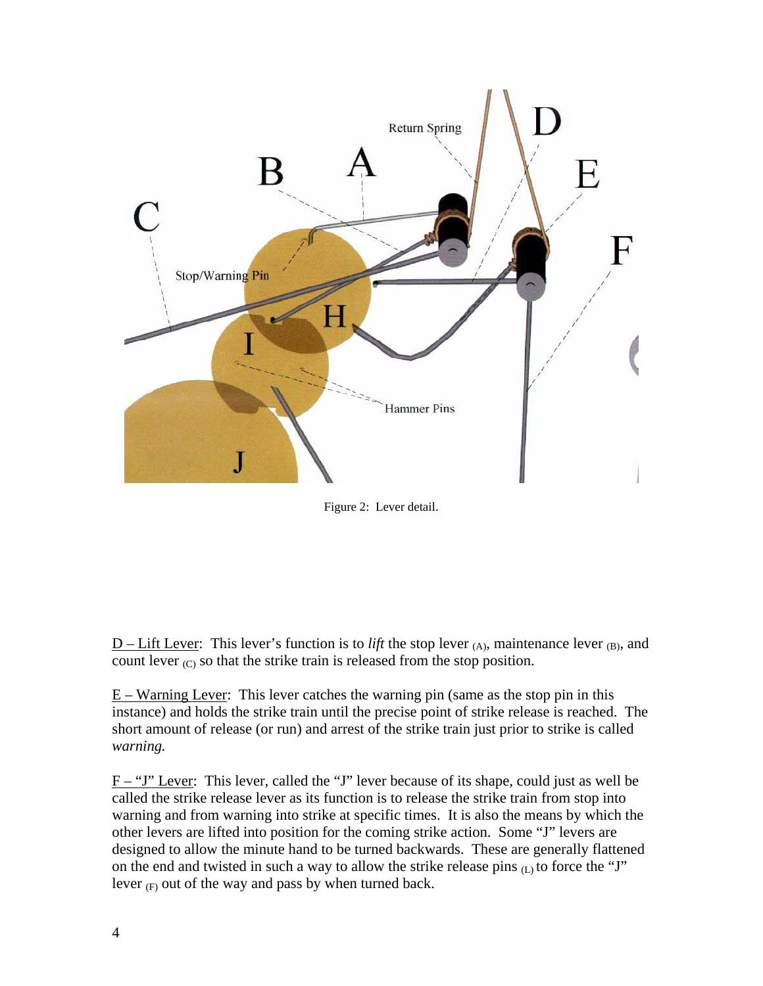

Figure 2: Lever detail.

 $D$  – Lift Lever: This lever's function is to *lift* the stop lever  $(A)$ , maintenance lever  $(B)$ , and count lever  $_{\rm (C)}$  so that the strike train is released from the stop position.

E – Warning Lever: This lever catches the warning pin (same as the stop pin in this instance) and holds the strike train until the precise point of strike release is reached. The short amount of release (or run) and arrest of the strike train just prior to strike is called *warning.*

F – "J" Lever: This lever, called the "J" lever because of its shape, could just as well be called the strike release lever as its function is to release the strike train from stop into warning and from warning into strike at specific times. It is also the means by which the other levers are lifted into position for the coming strike action. Some "J" levers are designed to allow the minute hand to be turned backwards. These are generally flattened on the end and twisted in such a way to allow the strike release pins  $(L)$  to force the "J" lever  $(F)$  out of the way and pass by when turned back.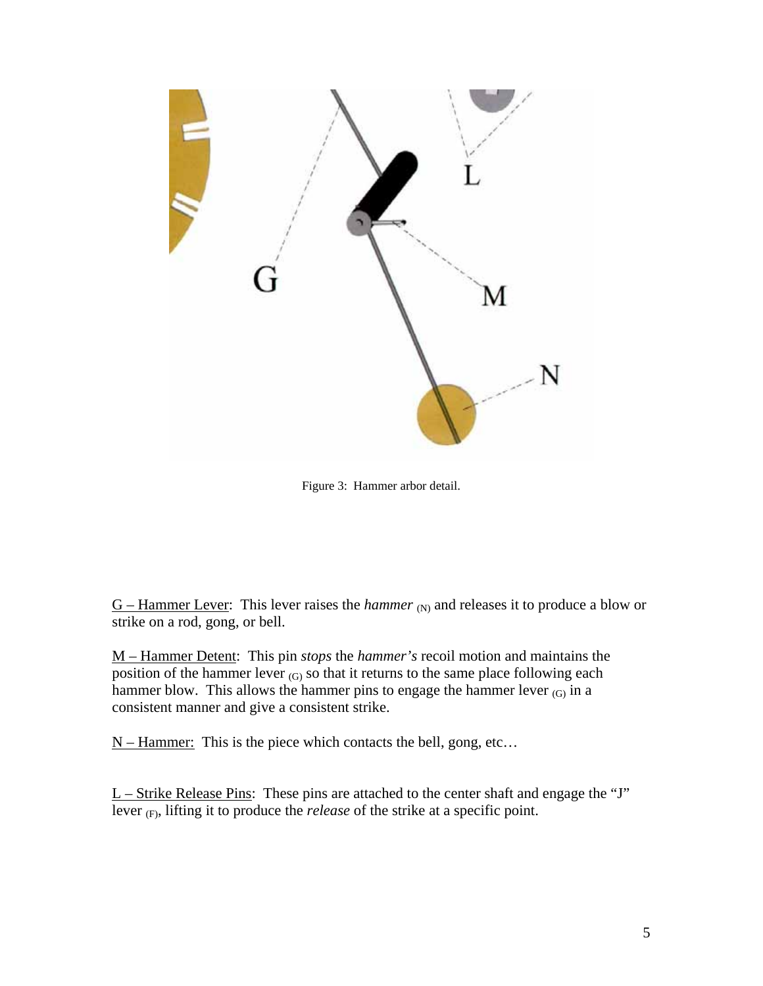

Figure 3: Hammer arbor detail.

 $G$  – Hammer Lever: This lever raises the *hammer* (N) and releases it to produce a blow or strike on a rod, gong, or bell.

M – Hammer Detent: This pin *stops* the *hammer's* recoil motion and maintains the position of the hammer lever  $_{(G)}$  so that it returns to the same place following each hammer blow. This allows the hammer pins to engage the hammer lever  $(G)$  in a consistent manner and give a consistent strike.

 $N -$  Hammer: This is the piece which contacts the bell, gong, etc...

 $L$  – Strike Release Pins: These pins are attached to the center shaft and engage the "J" lever (F), lifting it to produce the *release* of the strike at a specific point.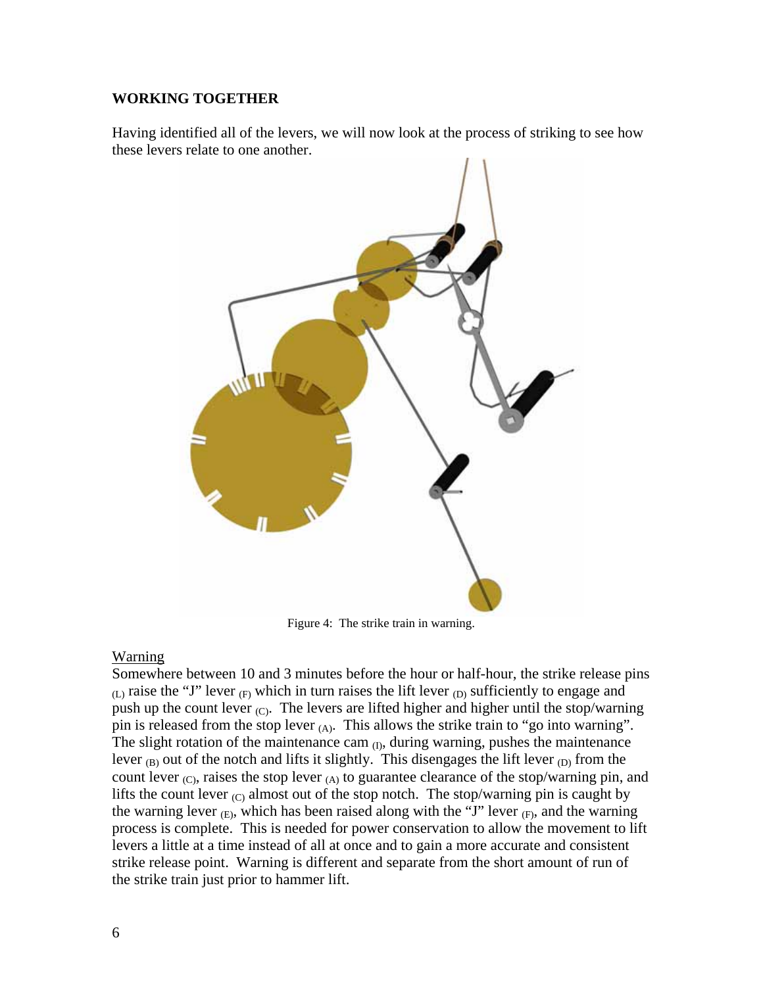# **WORKING TOGETHER**

Having identified all of the levers, we will now look at the process of striking to see how these levers relate to one another.



Figure 4: The strike train in warning.

# Warning

Somewhere between 10 and 3 minutes before the hour or half-hour, the strike release pins  $(L)$  raise the "J" lever  $(F)$  which in turn raises the lift lever  $(D)$  sufficiently to engage and push up the count lever  $(C)$ . The levers are lifted higher and higher until the stop/warning pin is released from the stop lever  $(A)$ . This allows the strike train to "go into warning". The slight rotation of the maintenance cam  $_{(I)}$ , during warning, pushes the maintenance lever  $_{(B)}$  out of the notch and lifts it slightly. This disengages the lift lever  $_{(D)}$  from the count lever  $_{(C)}$ , raises the stop lever  $_{(A)}$  to guarantee clearance of the stop/warning pin, and lifts the count lever  $_{\text{C}}$  almost out of the stop notch. The stop/warning pin is caught by the warning lever  $_{(E)}$ , which has been raised along with the "J" lever  $_{(F)}$ , and the warning process is complete. This is needed for power conservation to allow the movement to lift levers a little at a time instead of all at once and to gain a more accurate and consistent strike release point. Warning is different and separate from the short amount of run of the strike train just prior to hammer lift.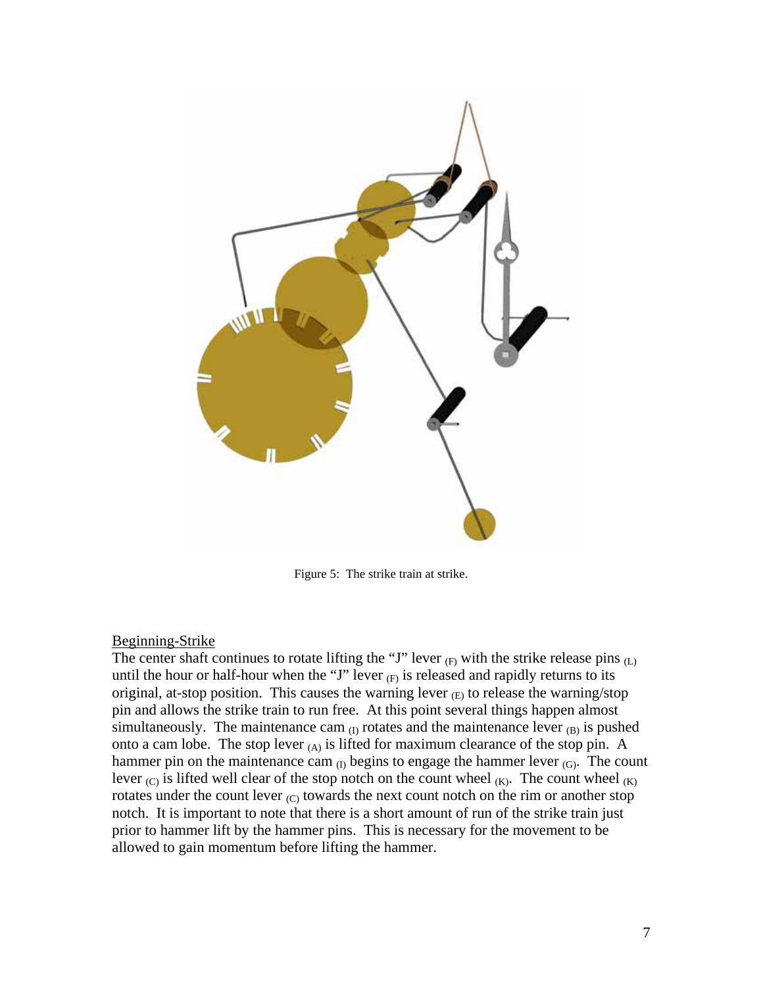

Figure 5: The strike train at strike.

## Beginning-Strike

The center shaft continues to rotate lifting the "J" lever  $(F)$  with the strike release pins  $(L)$ until the hour or half-hour when the "J" lever  $_{(F)}$  is released and rapidly returns to its original, at-stop position. This causes the warning lever  $(E)$  to release the warning/stop pin and allows the strike train to run free. At this point several things happen almost simultaneously. The maintenance cam  $_{(I)}$  rotates and the maintenance lever  $_{(B)}$  is pushed onto a cam lobe. The stop lever  $(A)$  is lifted for maximum clearance of the stop pin. A hammer pin on the maintenance cam  $_{(I)}$  begins to engage the hammer lever  $_{(G)}$ . The count lever  $(C)$  is lifted well clear of the stop notch on the count wheel  $(K)$ . The count wheel  $(K)$ rotates under the count lever  $(C)$  towards the next count notch on the rim or another stop notch. It is important to note that there is a short amount of run of the strike train just prior to hammer lift by the hammer pins. This is necessary for the movement to be allowed to gain momentum before lifting the hammer.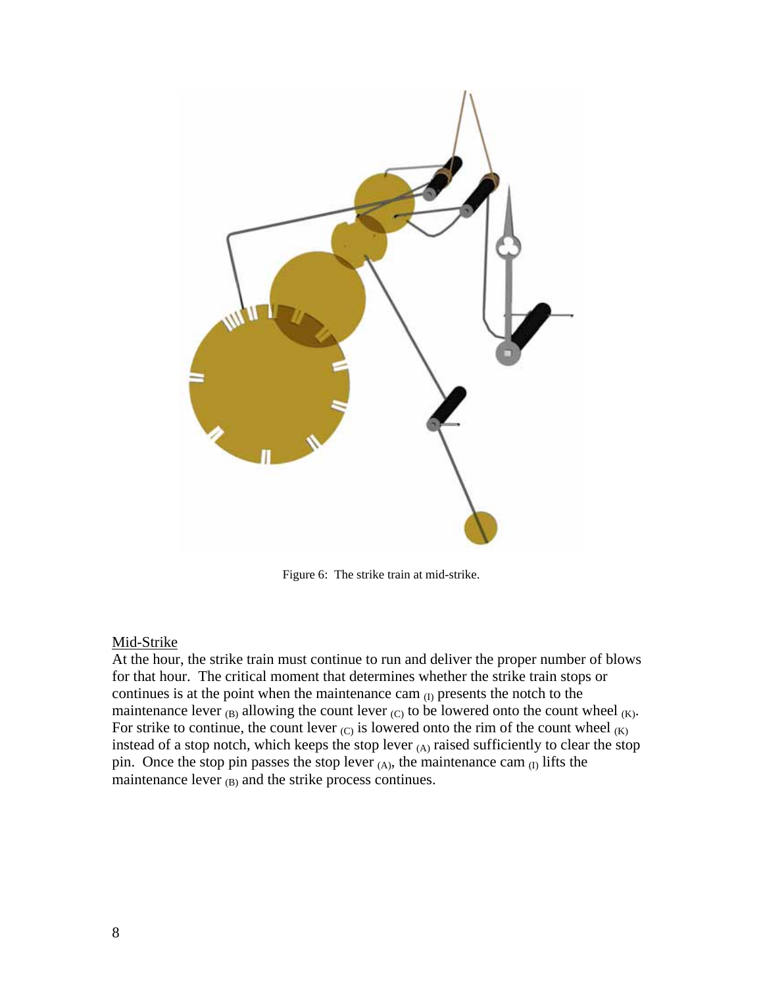

Figure 6: The strike train at mid-strike.

## Mid-Strike

At the hour, the strike train must continue to run and deliver the proper number of blows for that hour. The critical moment that determines whether the strike train stops or continues is at the point when the maintenance cam  $_{(I)}$  presents the notch to the maintenance lever  $_{(B)}$  allowing the count lever  $_{(C)}$  to be lowered onto the count wheel  $_{(K)}$ . For strike to continue, the count lever  $(C)$  is lowered onto the rim of the count wheel  $(K)$ instead of a stop notch, which keeps the stop lever  $(A)$  raised sufficiently to clear the stop pin. Once the stop pin passes the stop lever  $(A)$ , the maintenance cam  $(I)$  lifts the maintenance lever  $_{(B)}$  and the strike process continues.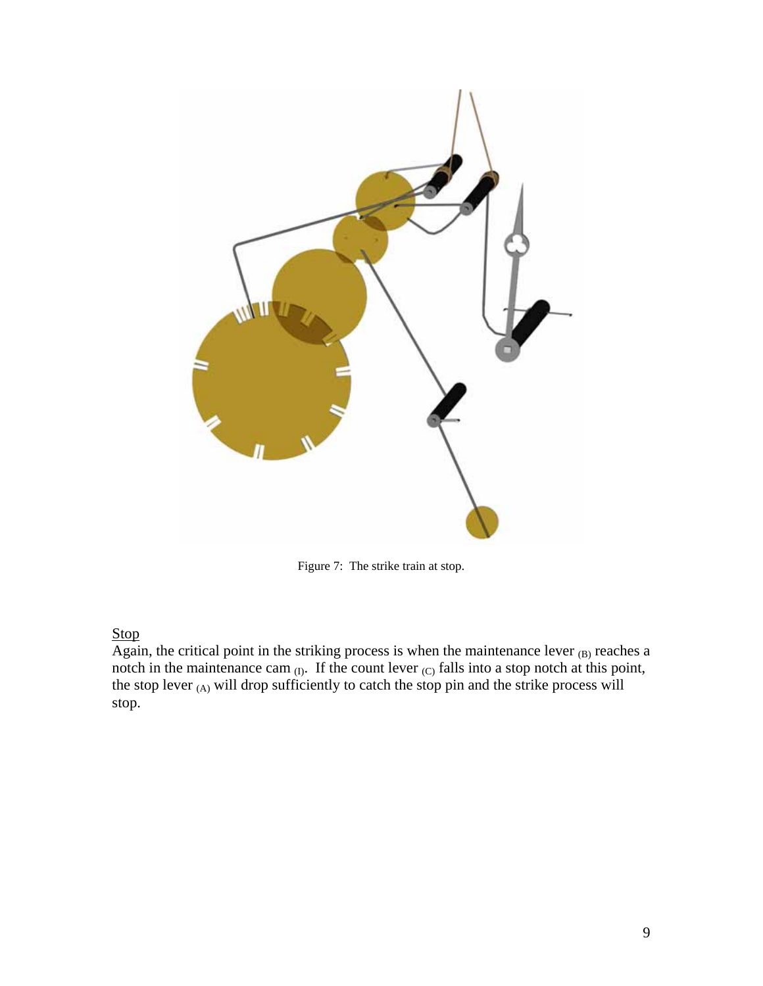

Figure 7: The strike train at stop.

# Stop

Again, the critical point in the striking process is when the maintenance lever  $_{(B)}$  reaches a notch in the maintenance cam  $_{(I)}$ . If the count lever  $_{(C)}$  falls into a stop notch at this point, the stop lever  $(A)$  will drop sufficiently to catch the stop pin and the strike process will stop.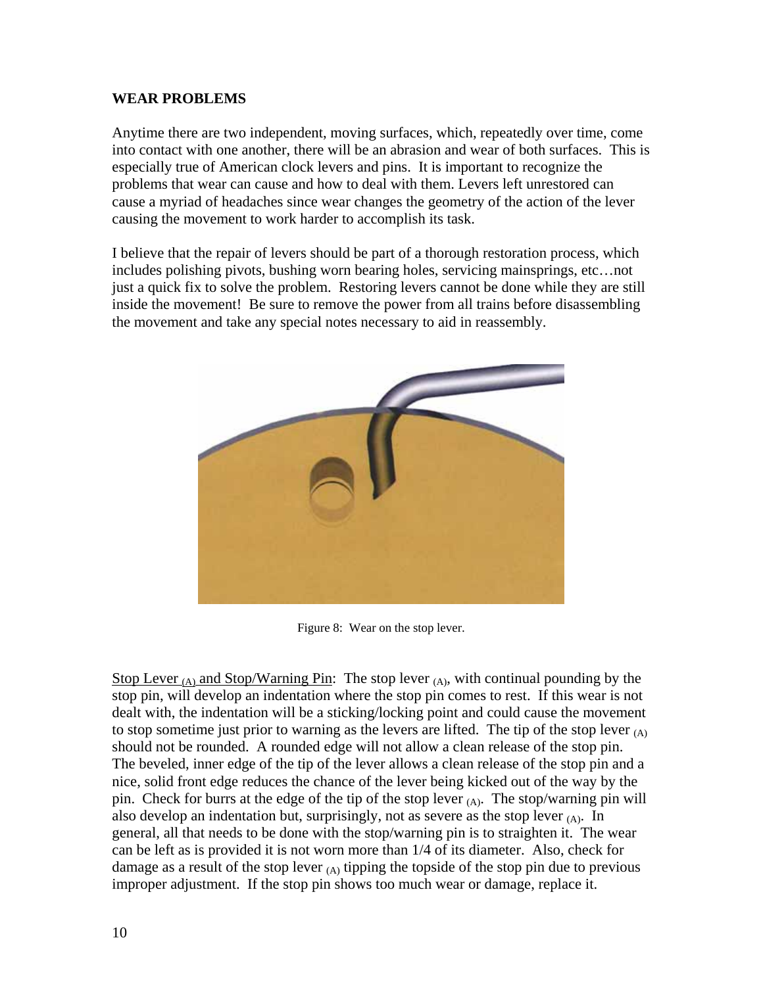## **WEAR PROBLEMS**

Anytime there are two independent, moving surfaces, which, repeatedly over time, come into contact with one another, there will be an abrasion and wear of both surfaces. This is especially true of American clock levers and pins. It is important to recognize the problems that wear can cause and how to deal with them. Levers left unrestored can cause a myriad of headaches since wear changes the geometry of the action of the lever causing the movement to work harder to accomplish its task.

I believe that the repair of levers should be part of a thorough restoration process, which includes polishing pivots, bushing worn bearing holes, servicing mainsprings, etc…not just a quick fix to solve the problem. Restoring levers cannot be done while they are still inside the movement! Be sure to remove the power from all trains before disassembling the movement and take any special notes necessary to aid in reassembly.



Figure 8: Wear on the stop lever.

Stop Lever (A) and Stop/Warning Pin: The stop lever (A), with continual pounding by the stop pin, will develop an indentation where the stop pin comes to rest. If this wear is not dealt with, the indentation will be a sticking/locking point and could cause the movement to stop sometime just prior to warning as the levers are lifted. The tip of the stop lever  $(A)$ should not be rounded. A rounded edge will not allow a clean release of the stop pin. The beveled, inner edge of the tip of the lever allows a clean release of the stop pin and a nice, solid front edge reduces the chance of the lever being kicked out of the way by the pin. Check for burrs at the edge of the tip of the stop lever  $(A)$ . The stop/warning pin will also develop an indentation but, surprisingly, not as severe as the stop lever  $(A)$ . In general, all that needs to be done with the stop/warning pin is to straighten it. The wear can be left as is provided it is not worn more than 1/4 of its diameter. Also, check for damage as a result of the stop lever  $(A)$  tipping the topside of the stop pin due to previous improper adjustment. If the stop pin shows too much wear or damage, replace it.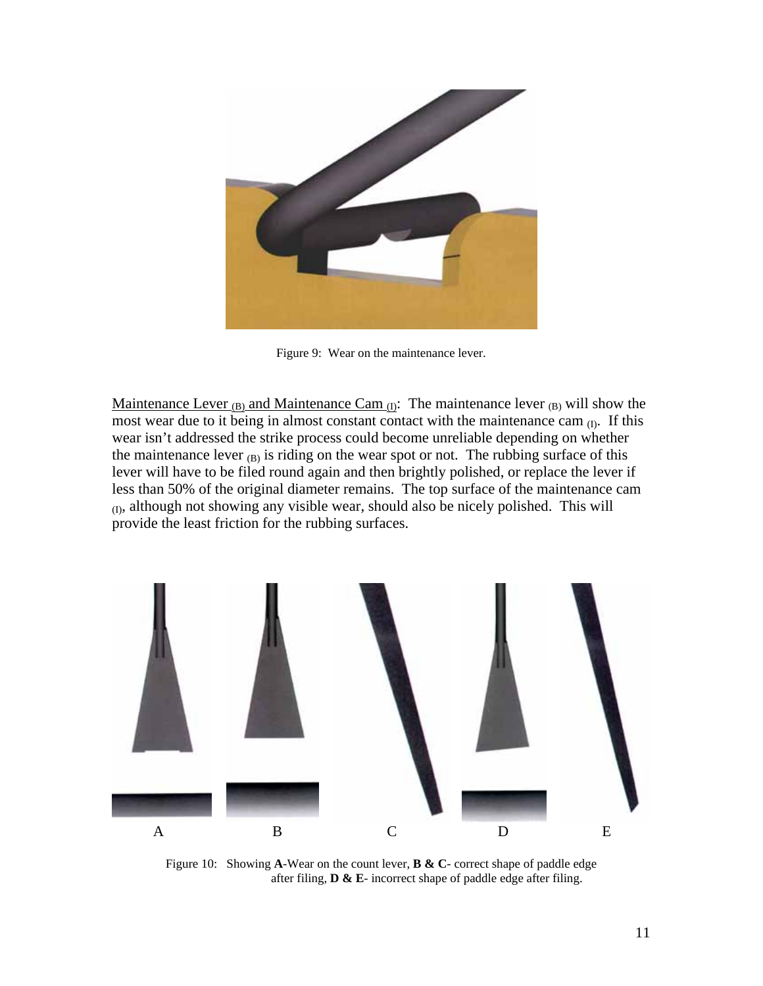

Figure 9: Wear on the maintenance lever.

Maintenance Lever (B) and Maintenance Cam  $_{(I)}$ : The maintenance lever (B) will show the most wear due to it being in almost constant contact with the maintenance cam  $_{(I)}$ . If this wear isn't addressed the strike process could become unreliable depending on whether the maintenance lever  $(B)$  is riding on the wear spot or not. The rubbing surface of this lever will have to be filed round again and then brightly polished, or replace the lever if less than 50% of the original diameter remains. The top surface of the maintenance cam (I), although not showing any visible wear, should also be nicely polished. This will provide the least friction for the rubbing surfaces.



Figure 10: Showing **A**-Wear on the count lever, **B & C**- correct shape of paddle edge after filing, **D & E**- incorrect shape of paddle edge after filing.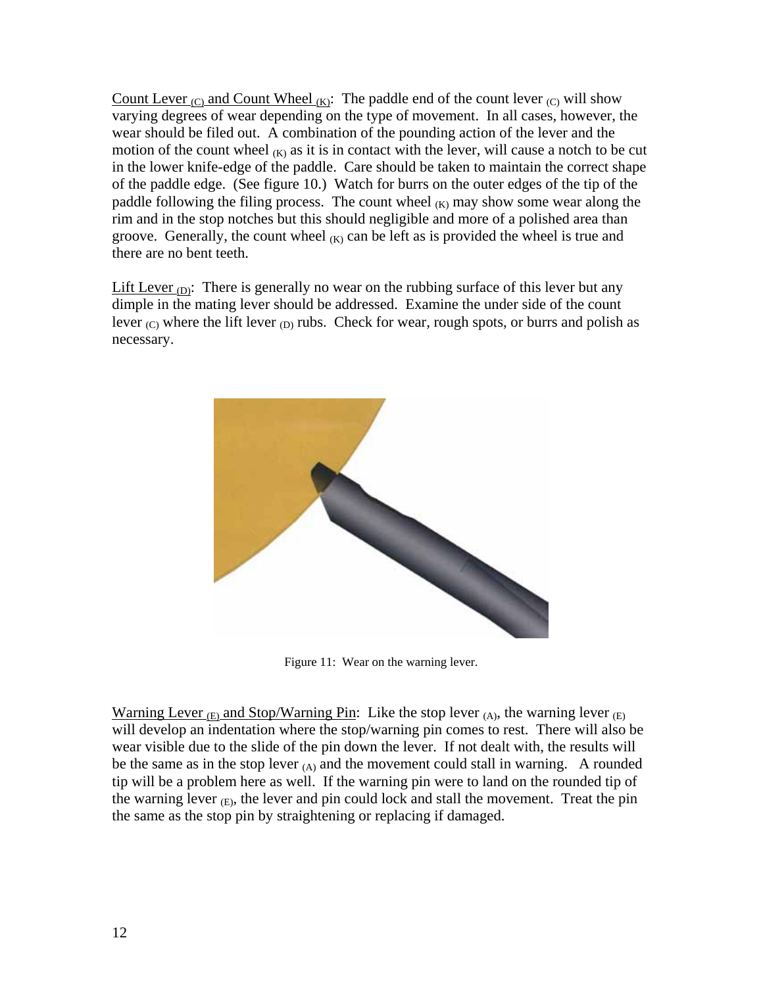Count Lever  $_{\text{(C)}}$  and Count Wheel  $_{\text{(K)}}$ : The paddle end of the count lever  $_{\text{(C)}}$  will show varying degrees of wear depending on the type of movement. In all cases, however, the wear should be filed out. A combination of the pounding action of the lever and the motion of the count wheel  $(K)$  as it is in contact with the lever, will cause a notch to be cut in the lower knife-edge of the paddle. Care should be taken to maintain the correct shape of the paddle edge. (See figure 10.) Watch for burrs on the outer edges of the tip of the paddle following the filing process. The count wheel  $(K)$  may show some wear along the rim and in the stop notches but this should negligible and more of a polished area than groove. Generally, the count wheel  $(K)$  can be left as is provided the wheel is true and there are no bent teeth.

Lift Lever  $_{\text{D}}$ : There is generally no wear on the rubbing surface of this lever but any dimple in the mating lever should be addressed. Examine the under side of the count lever  $_{\text{(C)}}$  where the lift lever  $_{\text{(D)}}$  rubs. Check for wear, rough spots, or burrs and polish as necessary.



Figure 11: Wear on the warning lever.

Warning Lever  $_{(E)}$  and Stop/Warning Pin: Like the stop lever  $_{(A)}$ , the warning lever  $_{(E)}$ will develop an indentation where the stop/warning pin comes to rest. There will also be wear visible due to the slide of the pin down the lever. If not dealt with, the results will be the same as in the stop lever  $(A)$  and the movement could stall in warning. A rounded tip will be a problem here as well. If the warning pin were to land on the rounded tip of the warning lever  $(E)$ , the lever and pin could lock and stall the movement. Treat the pin the same as the stop pin by straightening or replacing if damaged.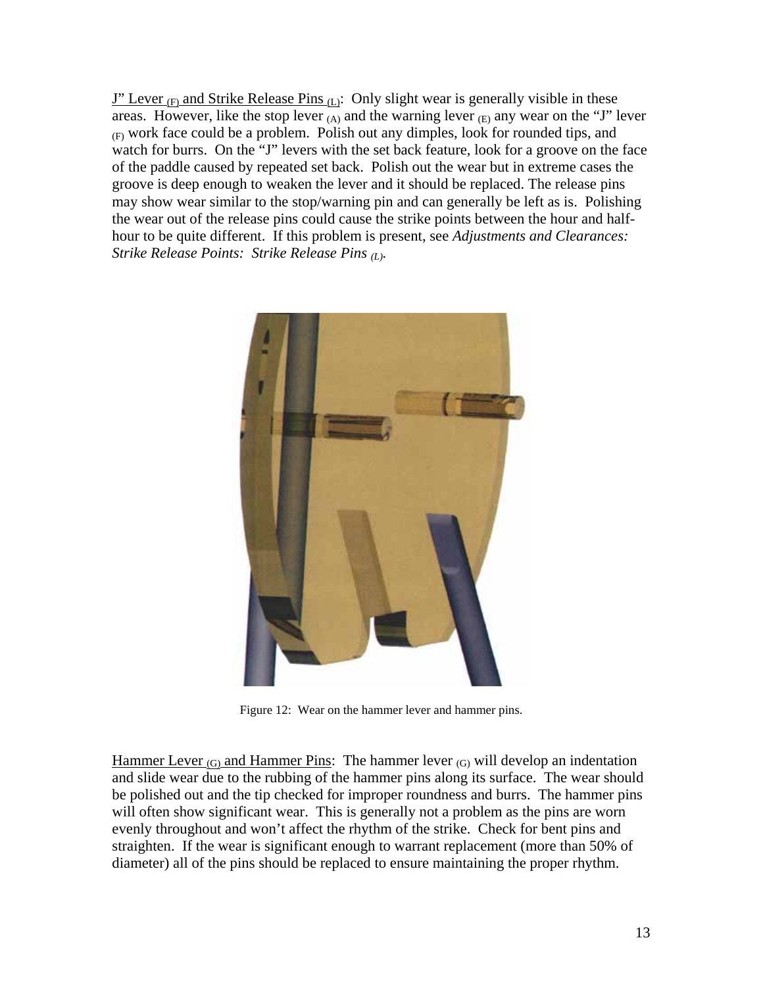$J''$  Lever <sub>(F)</sub> and Strike Release Pins (L): Only slight wear is generally visible in these areas. However, like the stop lever  $(A)$  and the warning lever  $(E)$  any wear on the "J" lever (F) work face could be a problem. Polish out any dimples, look for rounded tips, and watch for burrs. On the "J" levers with the set back feature, look for a groove on the face of the paddle caused by repeated set back. Polish out the wear but in extreme cases the groove is deep enough to weaken the lever and it should be replaced. The release pins may show wear similar to the stop/warning pin and can generally be left as is. Polishing the wear out of the release pins could cause the strike points between the hour and halfhour to be quite different. If this problem is present, see *Adjustments and Clearances: Strike Release Points: Strike Release Pins (L).* 



Figure 12: Wear on the hammer lever and hammer pins.

Hammer Lever  $_{(G)}$  and Hammer Pins: The hammer lever  $_{(G)}$  will develop an indentation and slide wear due to the rubbing of the hammer pins along its surface. The wear should be polished out and the tip checked for improper roundness and burrs. The hammer pins will often show significant wear. This is generally not a problem as the pins are worn evenly throughout and won't affect the rhythm of the strike. Check for bent pins and straighten. If the wear is significant enough to warrant replacement (more than 50% of diameter) all of the pins should be replaced to ensure maintaining the proper rhythm.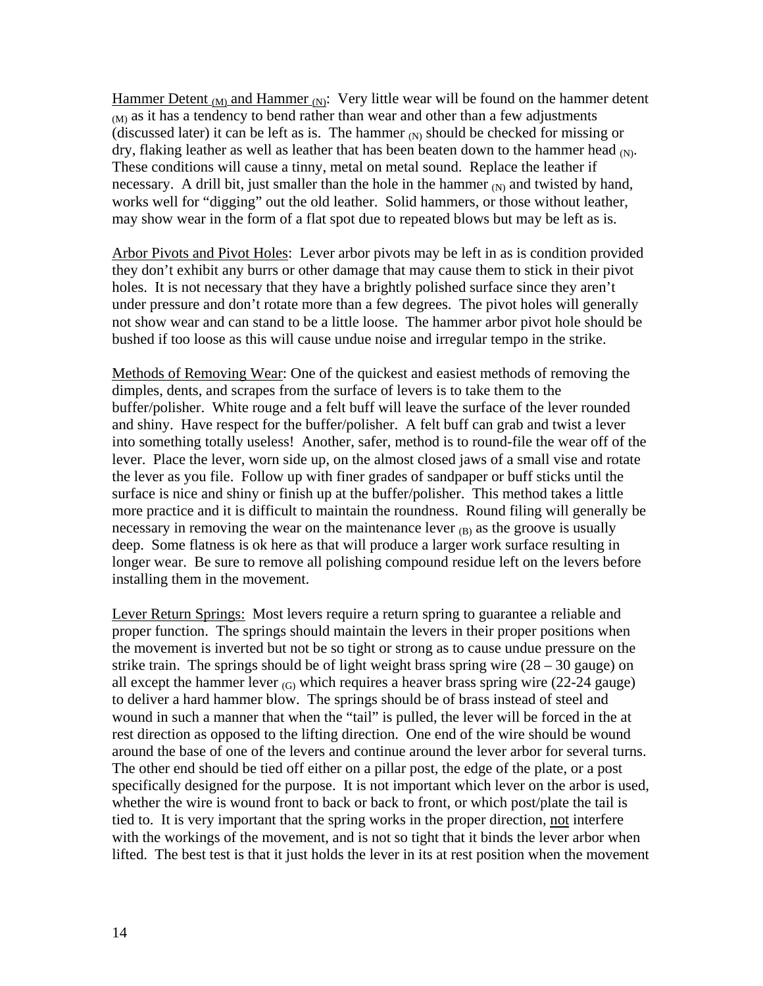Hammer Detent  $_{(M)}$  and Hammer  $_{(N)}$ : Very little wear will be found on the hammer detent  $_{(M)}$  as it has a tendency to bend rather than wear and other than a few adjustments (discussed later) it can be left as is. The hammer  $(N)$  should be checked for missing or dry, flaking leather as well as leather that has been beaten down to the hammer head  $(N)$ . These conditions will cause a tinny, metal on metal sound. Replace the leather if necessary. A drill bit, just smaller than the hole in the hammer  $_N$  and twisted by hand, works well for "digging" out the old leather. Solid hammers, or those without leather, may show wear in the form of a flat spot due to repeated blows but may be left as is.

Arbor Pivots and Pivot Holes: Lever arbor pivots may be left in as is condition provided they don't exhibit any burrs or other damage that may cause them to stick in their pivot holes. It is not necessary that they have a brightly polished surface since they aren't under pressure and don't rotate more than a few degrees. The pivot holes will generally not show wear and can stand to be a little loose. The hammer arbor pivot hole should be bushed if too loose as this will cause undue noise and irregular tempo in the strike.

Methods of Removing Wear: One of the quickest and easiest methods of removing the dimples, dents, and scrapes from the surface of levers is to take them to the buffer/polisher. White rouge and a felt buff will leave the surface of the lever rounded and shiny. Have respect for the buffer/polisher. A felt buff can grab and twist a lever into something totally useless! Another, safer, method is to round-file the wear off of the lever. Place the lever, worn side up, on the almost closed jaws of a small vise and rotate the lever as you file. Follow up with finer grades of sandpaper or buff sticks until the surface is nice and shiny or finish up at the buffer/polisher. This method takes a little more practice and it is difficult to maintain the roundness. Round filing will generally be necessary in removing the wear on the maintenance lever  $_{(B)}$  as the groove is usually deep. Some flatness is ok here as that will produce a larger work surface resulting in longer wear. Be sure to remove all polishing compound residue left on the levers before installing them in the movement.

Lever Return Springs: Most levers require a return spring to guarantee a reliable and proper function. The springs should maintain the levers in their proper positions when the movement is inverted but not be so tight or strong as to cause undue pressure on the strike train. The springs should be of light weight brass spring wire  $(28 - 30)$  gauge) on all except the hammer lever  $(G)$  which requires a heaver brass spring wire (22-24 gauge) to deliver a hard hammer blow. The springs should be of brass instead of steel and wound in such a manner that when the "tail" is pulled, the lever will be forced in the at rest direction as opposed to the lifting direction. One end of the wire should be wound around the base of one of the levers and continue around the lever arbor for several turns. The other end should be tied off either on a pillar post, the edge of the plate, or a post specifically designed for the purpose. It is not important which lever on the arbor is used, whether the wire is wound front to back or back to front, or which post/plate the tail is tied to. It is very important that the spring works in the proper direction, not interfere with the workings of the movement, and is not so tight that it binds the lever arbor when lifted. The best test is that it just holds the lever in its at rest position when the movement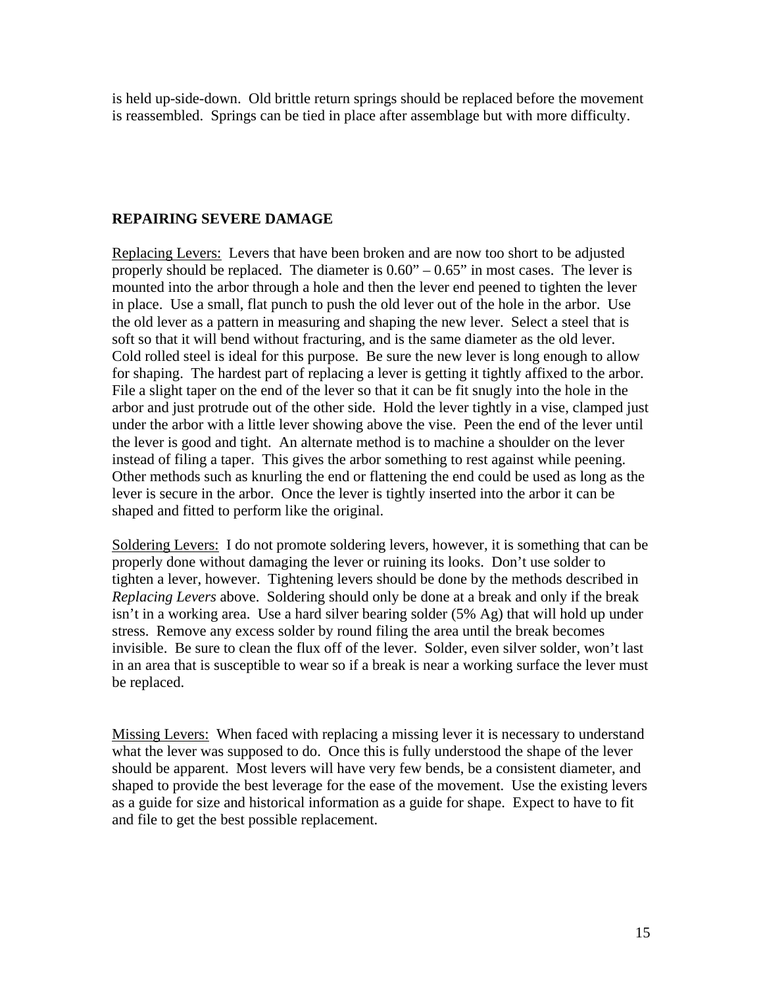is held up-side-down. Old brittle return springs should be replaced before the movement is reassembled. Springs can be tied in place after assemblage but with more difficulty.

# **REPAIRING SEVERE DAMAGE**

Replacing Levers: Levers that have been broken and are now too short to be adjusted properly should be replaced. The diameter is  $0.60^{\circ}$  –  $0.65^{\circ}$  in most cases. The lever is mounted into the arbor through a hole and then the lever end peened to tighten the lever in place. Use a small, flat punch to push the old lever out of the hole in the arbor. Use the old lever as a pattern in measuring and shaping the new lever. Select a steel that is soft so that it will bend without fracturing, and is the same diameter as the old lever. Cold rolled steel is ideal for this purpose. Be sure the new lever is long enough to allow for shaping. The hardest part of replacing a lever is getting it tightly affixed to the arbor. File a slight taper on the end of the lever so that it can be fit snugly into the hole in the arbor and just protrude out of the other side. Hold the lever tightly in a vise, clamped just under the arbor with a little lever showing above the vise. Peen the end of the lever until the lever is good and tight. An alternate method is to machine a shoulder on the lever instead of filing a taper. This gives the arbor something to rest against while peening. Other methods such as knurling the end or flattening the end could be used as long as the lever is secure in the arbor. Once the lever is tightly inserted into the arbor it can be shaped and fitted to perform like the original.

Soldering Levers: I do not promote soldering levers, however, it is something that can be properly done without damaging the lever or ruining its looks. Don't use solder to tighten a lever, however. Tightening levers should be done by the methods described in *Replacing Levers* above. Soldering should only be done at a break and only if the break isn't in a working area. Use a hard silver bearing solder (5% Ag) that will hold up under stress. Remove any excess solder by round filing the area until the break becomes invisible. Be sure to clean the flux off of the lever. Solder, even silver solder, won't last in an area that is susceptible to wear so if a break is near a working surface the lever must be replaced.

Missing Levers: When faced with replacing a missing lever it is necessary to understand what the lever was supposed to do. Once this is fully understood the shape of the lever should be apparent. Most levers will have very few bends, be a consistent diameter, and shaped to provide the best leverage for the ease of the movement. Use the existing levers as a guide for size and historical information as a guide for shape. Expect to have to fit and file to get the best possible replacement.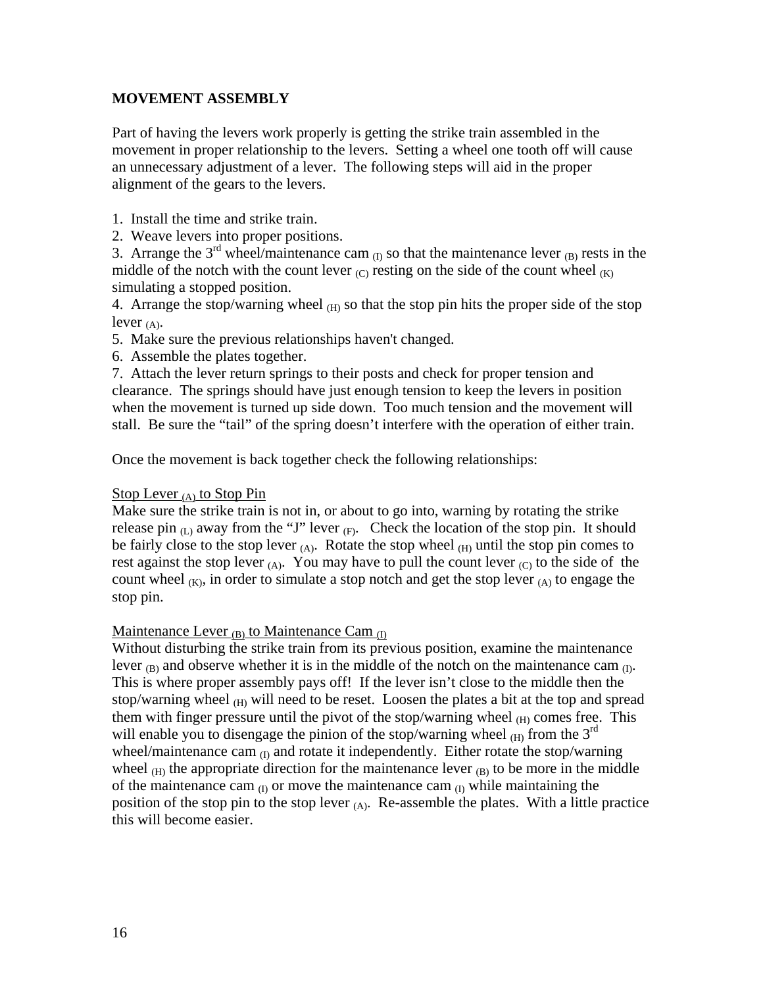# **MOVEMENT ASSEMBLY**

Part of having the levers work properly is getting the strike train assembled in the movement in proper relationship to the levers. Setting a wheel one tooth off will cause an unnecessary adjustment of a lever. The following steps will aid in the proper alignment of the gears to the levers.

- 1. Install the time and strike train.
- 2. Weave levers into proper positions.

3. Arrange the  $3<sup>rd</sup>$  wheel/maintenance cam  $_{(I)}$  so that the maintenance lever  $_{(B)}$  rests in the middle of the notch with the count lever  $(C)$  resting on the side of the count wheel  $(K)$ simulating a stopped position.

4. Arrange the stop/warning wheel  $(H)$  so that the stop pin hits the proper side of the stop lever  $(A)$ .

- 5. Make sure the previous relationships haven't changed.
- 6. Assemble the plates together.

7. Attach the lever return springs to their posts and check for proper tension and clearance. The springs should have just enough tension to keep the levers in position when the movement is turned up side down. Too much tension and the movement will stall. Be sure the "tail" of the spring doesn't interfere with the operation of either train.

Once the movement is back together check the following relationships:

## Stop Lever (A) to Stop Pin

Make sure the strike train is not in, or about to go into, warning by rotating the strike release pin  $(L)$  away from the "J" lever  $(F)$ . Check the location of the stop pin. It should be fairly close to the stop lever  $(A)$ . Rotate the stop wheel  $(H)$  until the stop pin comes to rest against the stop lever  $(A)$ . You may have to pull the count lever  $(C)$  to the side of the count wheel  $(K)$ , in order to simulate a stop notch and get the stop lever  $(A)$  to engage the stop pin.

## Maintenance Lever  $_{(B)}$  to Maintenance Cam  $_{(D)}$

Without disturbing the strike train from its previous position, examine the maintenance lever  $_{(B)}$  and observe whether it is in the middle of the notch on the maintenance cam  $_{(D)}$ . This is where proper assembly pays off! If the lever isn't close to the middle then the stop/warning wheel  $_{(H)}$  will need to be reset. Loosen the plates a bit at the top and spread them with finger pressure until the pivot of the stop/warning wheel  $(H)$  comes free. This will enable you to disengage the pinion of the stop/warning wheel  $(H)$  from the 3<sup>rd</sup> wheel/maintenance cam  $_{(I)}$  and rotate it independently. Either rotate the stop/warning wheel  $(H)$  the appropriate direction for the maintenance lever  $(H)$  to be more in the middle of the maintenance cam  $_{(I)}$  or move the maintenance cam  $_{(I)}$  while maintaining the position of the stop pin to the stop lever  $(A)$ . Re-assemble the plates. With a little practice this will become easier.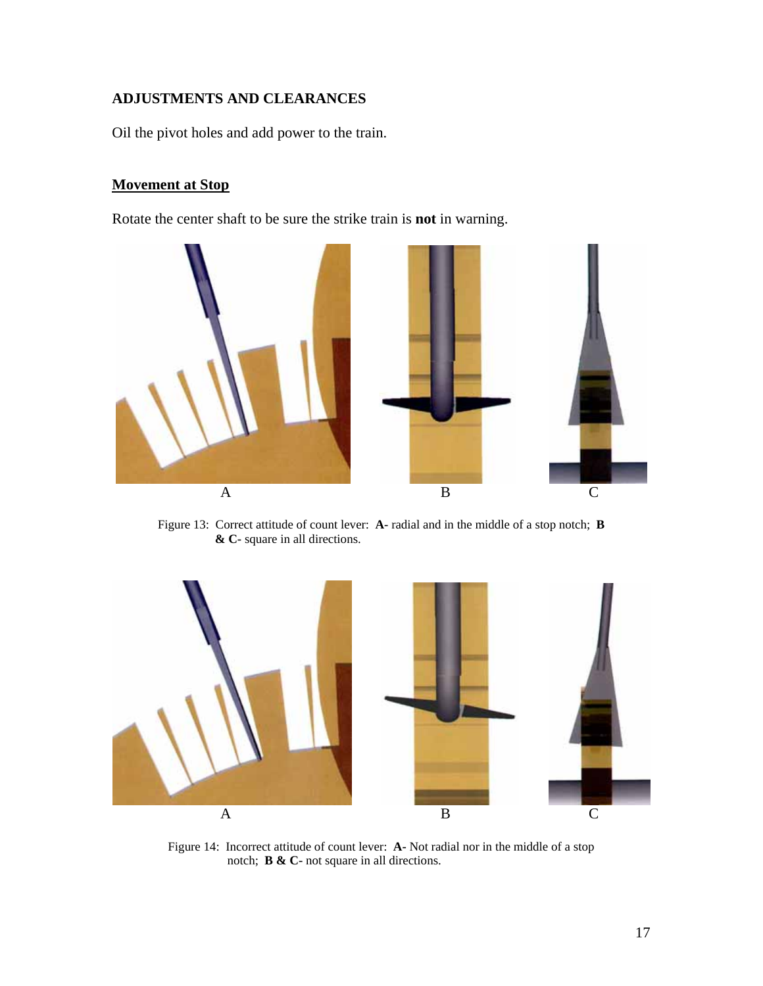# **ADJUSTMENTS AND CLEARANCES**

Oil the pivot holes and add power to the train.

# **Movement at Stop**

Rotate the center shaft to be sure the strike train is **not** in warning.



Figure 13: Correct attitude of count lever: **A-** radial and in the middle of a stop notch; **B & C-** square in all directions.



Figure 14: Incorrect attitude of count lever: **A-** Not radial nor in the middle of a stop notch; **B & C-** not square in all directions.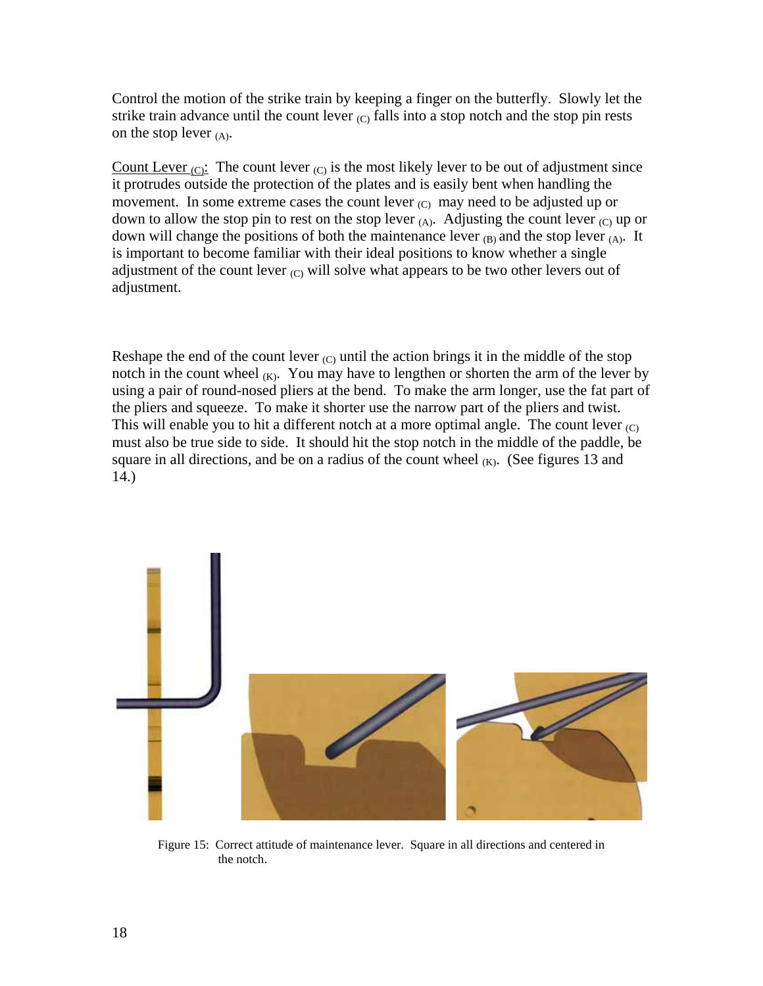Control the motion of the strike train by keeping a finger on the butterfly. Slowly let the strike train advance until the count lever  $_{\rm (C)}$  falls into a stop notch and the stop pin rests on the stop lever  $(A)$ .

Count Lever  $(C)$ : The count lever  $(C)$  is the most likely lever to be out of adjustment since it protrudes outside the protection of the plates and is easily bent when handling the movement. In some extreme cases the count lever  $(C)$  may need to be adjusted up or down to allow the stop pin to rest on the stop lever  $(A)$ . Adjusting the count lever  $(C)$  up or down will change the positions of both the maintenance lever  $(B)$  and the stop lever  $(A)$ . It is important to become familiar with their ideal positions to know whether a single adjustment of the count lever  $(C)$  will solve what appears to be two other levers out of adjustment.

Reshape the end of the count lever  $(C)$  until the action brings it in the middle of the stop notch in the count wheel  $(K)$ . You may have to lengthen or shorten the arm of the lever by using a pair of round-nosed pliers at the bend. To make the arm longer, use the fat part of the pliers and squeeze. To make it shorter use the narrow part of the pliers and twist. This will enable you to hit a different notch at a more optimal angle. The count lever  $_{\text{CO}}$ must also be true side to side. It should hit the stop notch in the middle of the paddle, be square in all directions, and be on a radius of the count wheel  $(K)$ . (See figures 13 and 14.)



Figure 15: Correct attitude of maintenance lever. Square in all directions and centered in the notch.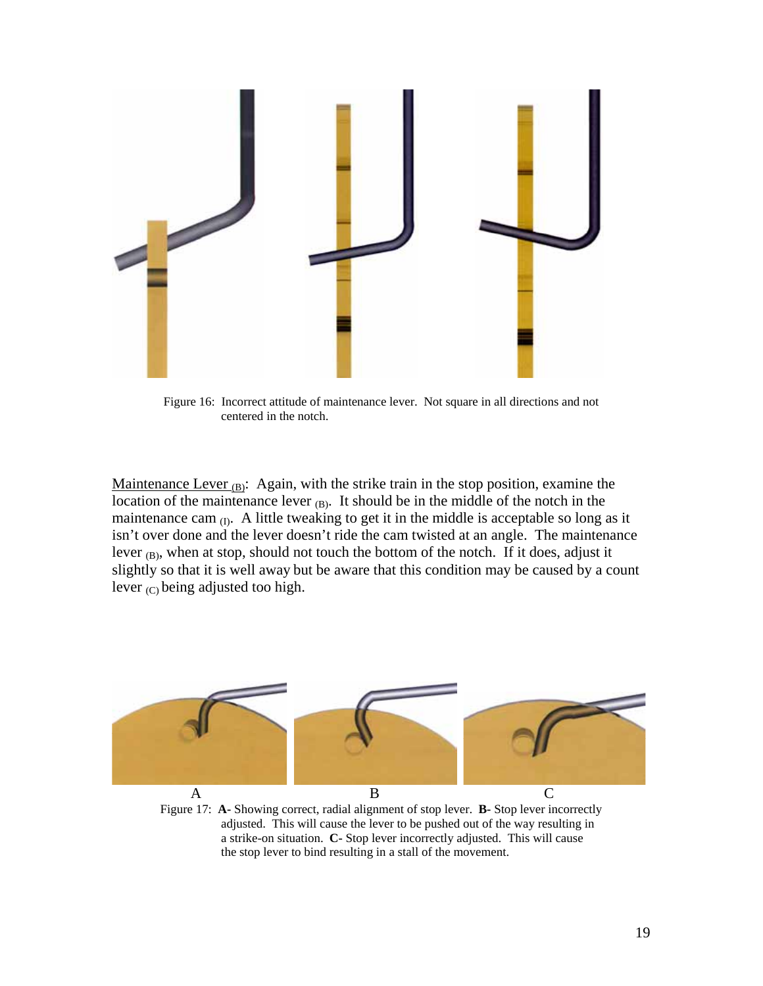

Figure 16: Incorrect attitude of maintenance lever. Not square in all directions and not centered in the notch.

Maintenance Lever  $_{(B)}$ : Again, with the strike train in the stop position, examine the location of the maintenance lever  $(B)$ . It should be in the middle of the notch in the maintenance cam  $_{(I)}$ . A little tweaking to get it in the middle is acceptable so long as it isn't over done and the lever doesn't ride the cam twisted at an angle. The maintenance lever  $_{(B)}$ , when at stop, should not touch the bottom of the notch. If it does, adjust it slightly so that it is well away but be aware that this condition may be caused by a count lever  $(C)$  being adjusted too high.



Figure 17: **A-** Showing correct, radial alignment of stop lever. **B-** Stop lever incorrectly adjusted. This will cause the lever to be pushed out of the way resulting in a strike-on situation. **C-** Stop lever incorrectly adjusted. This will cause the stop lever to bind resulting in a stall of the movement.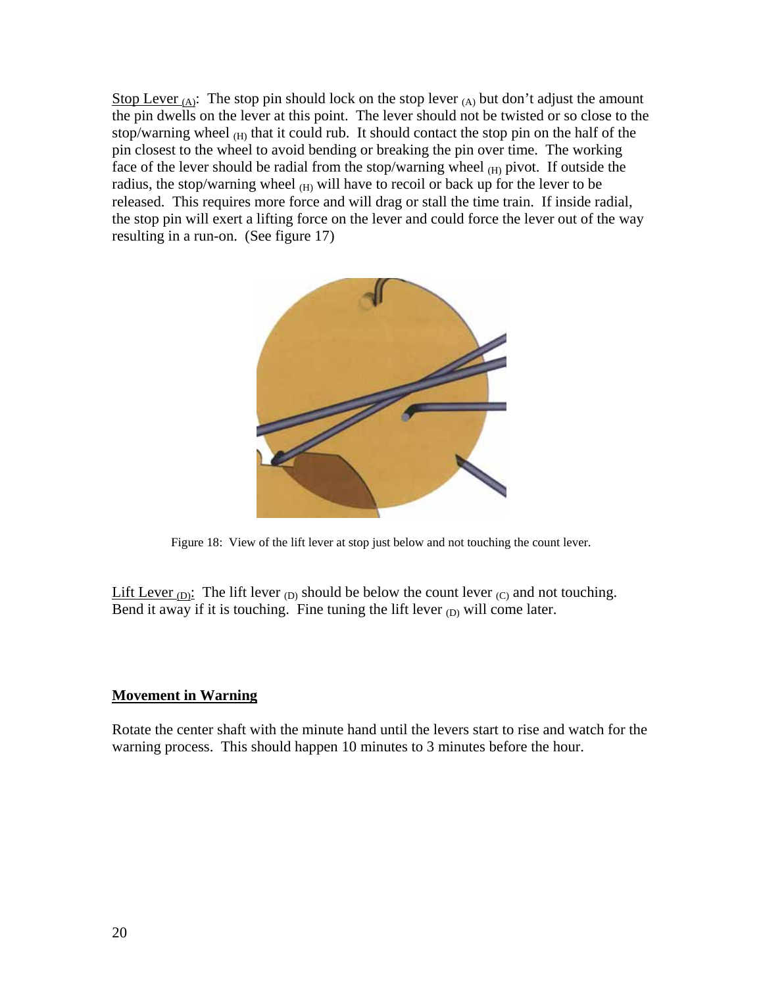Stop Lever  $_{(A)}$ : The stop pin should lock on the stop lever  $_{(A)}$  but don't adjust the amount the pin dwells on the lever at this point. The lever should not be twisted or so close to the stop/warning wheel  $(H)$  that it could rub. It should contact the stop pin on the half of the pin closest to the wheel to avoid bending or breaking the pin over time. The working face of the lever should be radial from the stop/warning wheel  $(H)$  pivot. If outside the radius, the stop/warning wheel  $(H)$  will have to recoil or back up for the lever to be released. This requires more force and will drag or stall the time train. If inside radial, the stop pin will exert a lifting force on the lever and could force the lever out of the way resulting in a run-on. (See figure 17)



Figure 18: View of the lift lever at stop just below and not touching the count lever.

Lift Lever  $(D)$ : The lift lever  $(D)$  should be below the count lever  $(C)$  and not touching. Bend it away if it is touching. Fine tuning the lift lever  $_{(D)}$  will come later.

# **Movement in Warning**

Rotate the center shaft with the minute hand until the levers start to rise and watch for the warning process. This should happen 10 minutes to 3 minutes before the hour.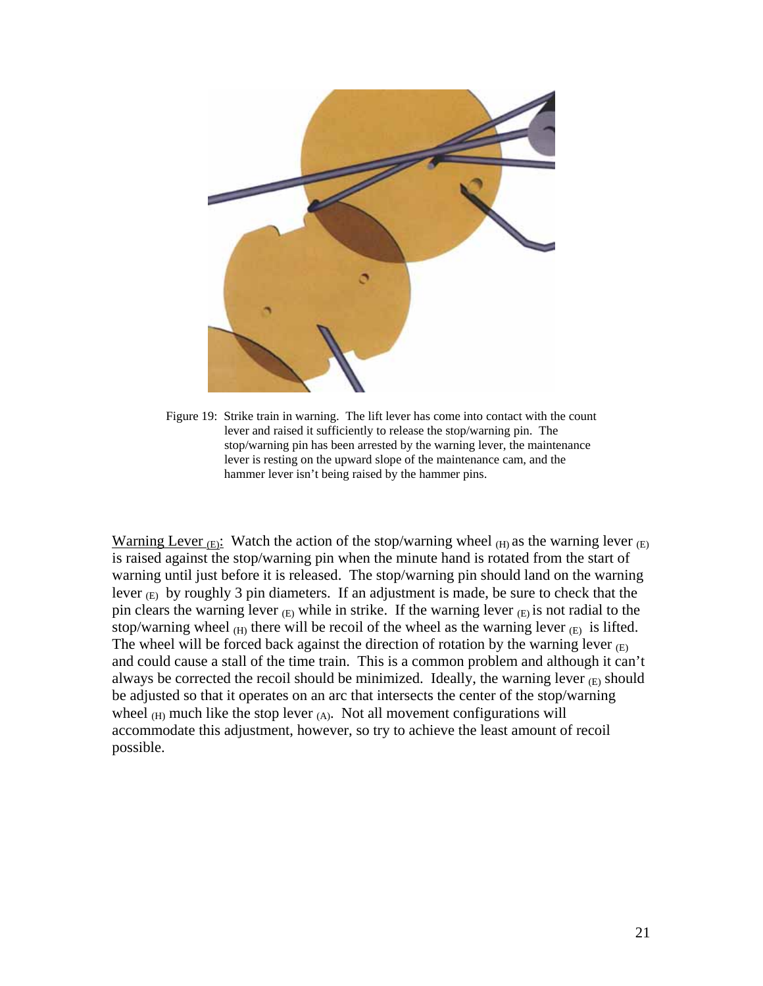

Figure 19: Strike train in warning. The lift lever has come into contact with the count lever and raised it sufficiently to release the stop/warning pin. The stop/warning pin has been arrested by the warning lever, the maintenance lever is resting on the upward slope of the maintenance cam, and the hammer lever isn't being raised by the hammer pins.

Warning Lever  $(E)$ : Watch the action of the stop/warning wheel  $(E)$  as the warning lever  $(E)$ is raised against the stop/warning pin when the minute hand is rotated from the start of warning until just before it is released. The stop/warning pin should land on the warning lever  $(E)$  by roughly 3 pin diameters. If an adjustment is made, be sure to check that the pin clears the warning lever  $(E)$  while in strike. If the warning lever  $(E)$  is not radial to the stop/warning wheel  $(H)$  there will be recoil of the wheel as the warning lever  $(E)$  is lifted. The wheel will be forced back against the direction of rotation by the warning lever  $(E)$ and could cause a stall of the time train. This is a common problem and although it can't always be corrected the recoil should be minimized. Ideally, the warning lever  $(E)$  should be adjusted so that it operates on an arc that intersects the center of the stop/warning wheel  $(H)$  much like the stop lever  $(A)$ . Not all movement configurations will accommodate this adjustment, however, so try to achieve the least amount of recoil possible.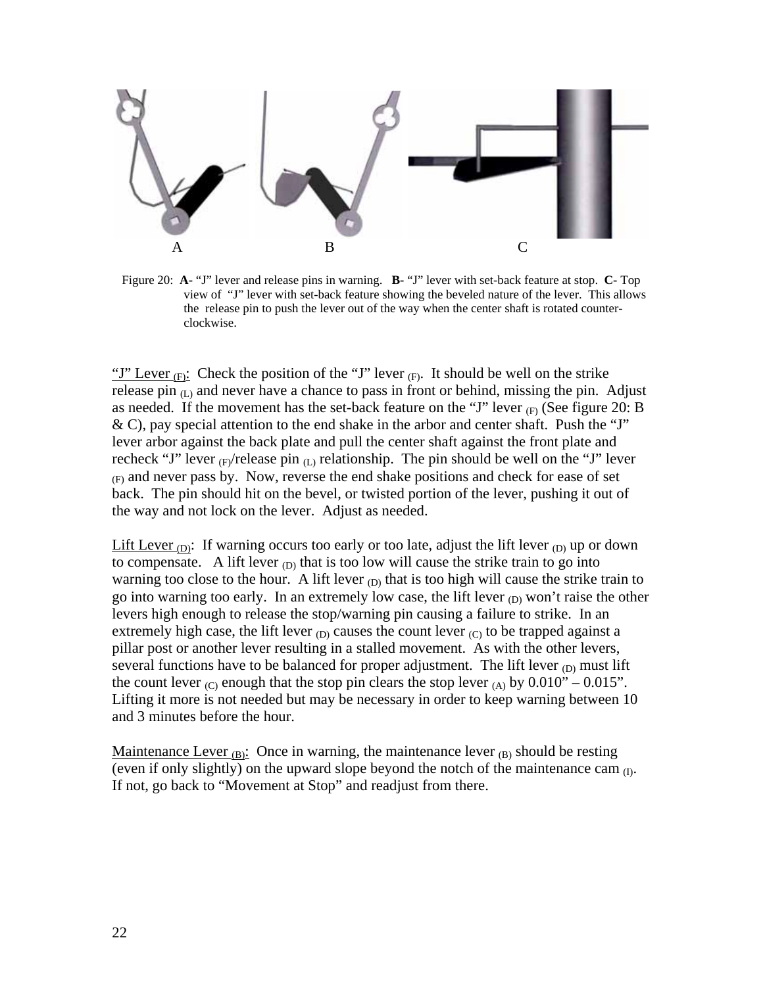

Figure 20: **A-** "J" lever and release pins in warning. **B-** "J" lever with set-back feature at stop. **C-** Top view of "J" lever with set-back feature showing the beveled nature of the lever. This allows the release pin to push the lever out of the way when the center shaft is rotated counter clockwise.

"J" Lever  $(F)$ : Check the position of the "J" lever  $(F)$ . It should be well on the strike release pin  $(L)$  and never have a chance to pass in front or behind, missing the pin. Adjust as needed. If the movement has the set-back feature on the "J" lever  $_{(F)}$  (See figure 20: B & C), pay special attention to the end shake in the arbor and center shaft. Push the "J" lever arbor against the back plate and pull the center shaft against the front plate and recheck "J" lever  $_{F}/$ release pin  $_{(L)}$  relationship. The pin should be well on the "J" lever  $(F)$  and never pass by. Now, reverse the end shake positions and check for ease of set back. The pin should hit on the bevel, or twisted portion of the lever, pushing it out of the way and not lock on the lever. Adjust as needed.

Lift Lever  $_{\text{(D)}}$ : If warning occurs too early or too late, adjust the lift lever  $_{\text{(D)}}$  up or down to compensate. A lift lever  $_{\text{(D)}}$  that is too low will cause the strike train to go into warning too close to the hour. A lift lever  $_{(D)}$  that is too high will cause the strike train to go into warning too early. In an extremely low case, the lift lever  $_{(D)}$  won't raise the other levers high enough to release the stop/warning pin causing a failure to strike. In an extremely high case, the lift lever  $_{(D)}$  causes the count lever  $_{(C)}$  to be trapped against a pillar post or another lever resulting in a stalled movement. As with the other levers, several functions have to be balanced for proper adjustment. The lift lever  $_{(D)}$  must lift the count lever  $_{\text{(C)}}$  enough that the stop pin clears the stop lever  $_{\text{(A)}}$  by 0.010" – 0.015". Lifting it more is not needed but may be necessary in order to keep warning between 10 and 3 minutes before the hour.

Maintenance Lever  $_{(B)}$ : Once in warning, the maintenance lever  $_{(B)}$  should be resting (even if only slightly) on the upward slope beyond the notch of the maintenance cam  $_{(I)}$ . If not, go back to "Movement at Stop" and readjust from there.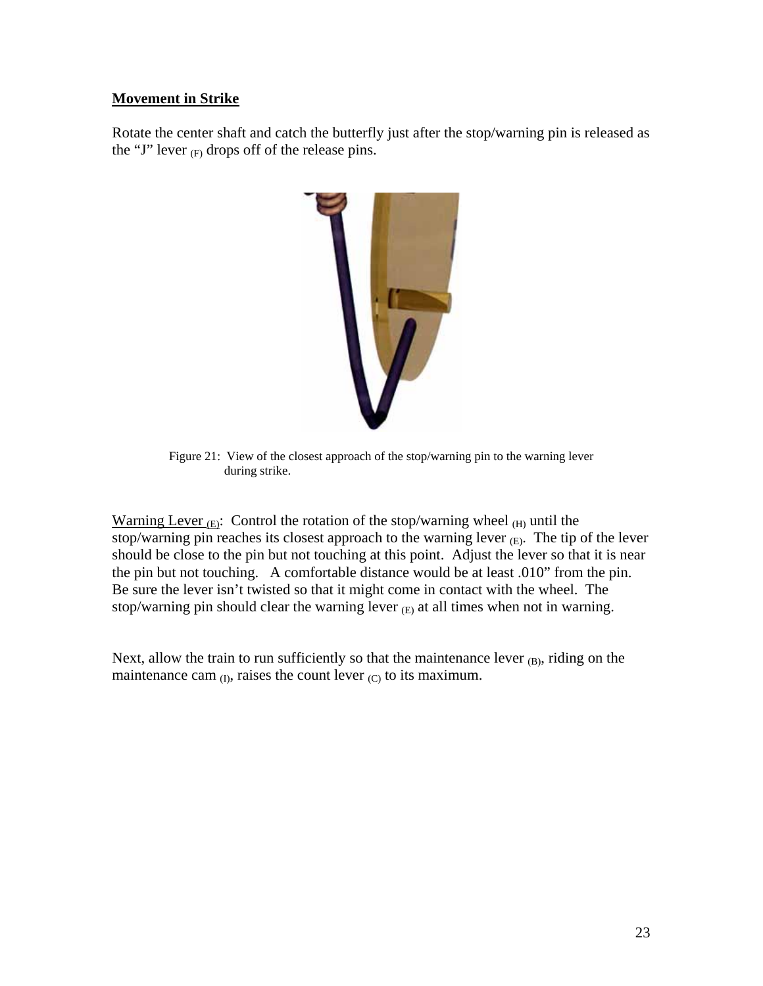# **Movement in Strike**

Rotate the center shaft and catch the butterfly just after the stop/warning pin is released as the "J" lever  $(F)$  drops off of the release pins.



Figure 21: View of the closest approach of the stop/warning pin to the warning lever during strike.

Warning Lever  $_{\text{(E)}}$ : Control the rotation of the stop/warning wheel  $_{\text{(H)}}$  until the stop/warning pin reaches its closest approach to the warning lever  $(E)$ . The tip of the lever should be close to the pin but not touching at this point. Adjust the lever so that it is near the pin but not touching. A comfortable distance would be at least .010" from the pin. Be sure the lever isn't twisted so that it might come in contact with the wheel. The stop/warning pin should clear the warning lever  $(E)$  at all times when not in warning.

Next, allow the train to run sufficiently so that the maintenance lever  $_{(B)}$ , riding on the maintenance cam  $_{(I)}$ , raises the count lever  $_{(C)}$  to its maximum.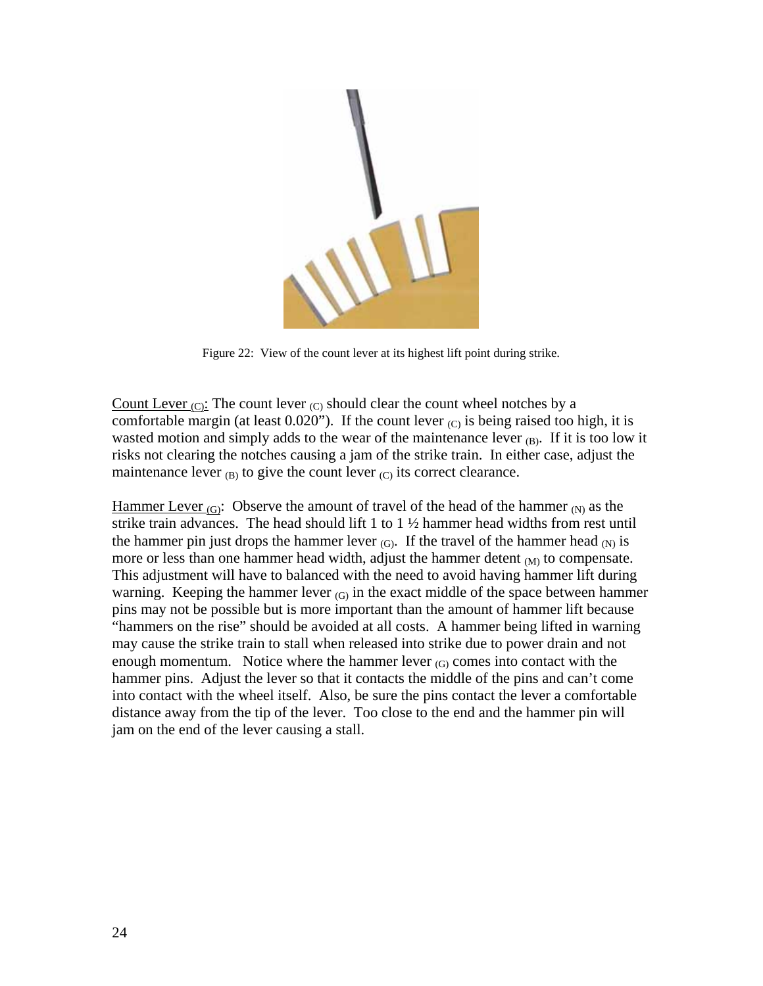

Figure 22: View of the count lever at its highest lift point during strike.

Count Lever  $_{\rm (C)}$ : The count lever  $_{\rm (C)}$  should clear the count wheel notches by a comfortable margin (at least 0.020"). If the count lever  $_{(C)}$  is being raised too high, it is wasted motion and simply adds to the wear of the maintenance lever  $(B)$ . If it is too low it risks not clearing the notches causing a jam of the strike train. In either case, adjust the maintenance lever  $_{(B)}$  to give the count lever  $_{(C)}$  its correct clearance.

Hammer Lever (G): Observe the amount of travel of the head of the hammer  $(N)$  as the strike train advances. The head should lift 1 to  $1\frac{1}{2}$  hammer head widths from rest until the hammer pin just drops the hammer lever  $(G)$ . If the travel of the hammer head  $(N)$  is more or less than one hammer head width, adjust the hammer detent  $_{(M)}$  to compensate. This adjustment will have to balanced with the need to avoid having hammer lift during warning. Keeping the hammer lever  $(G)$  in the exact middle of the space between hammer pins may not be possible but is more important than the amount of hammer lift because "hammers on the rise" should be avoided at all costs. A hammer being lifted in warning may cause the strike train to stall when released into strike due to power drain and not enough momentum. Notice where the hammer lever  $_{(G)}$  comes into contact with the hammer pins. Adjust the lever so that it contacts the middle of the pins and can't come into contact with the wheel itself. Also, be sure the pins contact the lever a comfortable distance away from the tip of the lever. Too close to the end and the hammer pin will jam on the end of the lever causing a stall.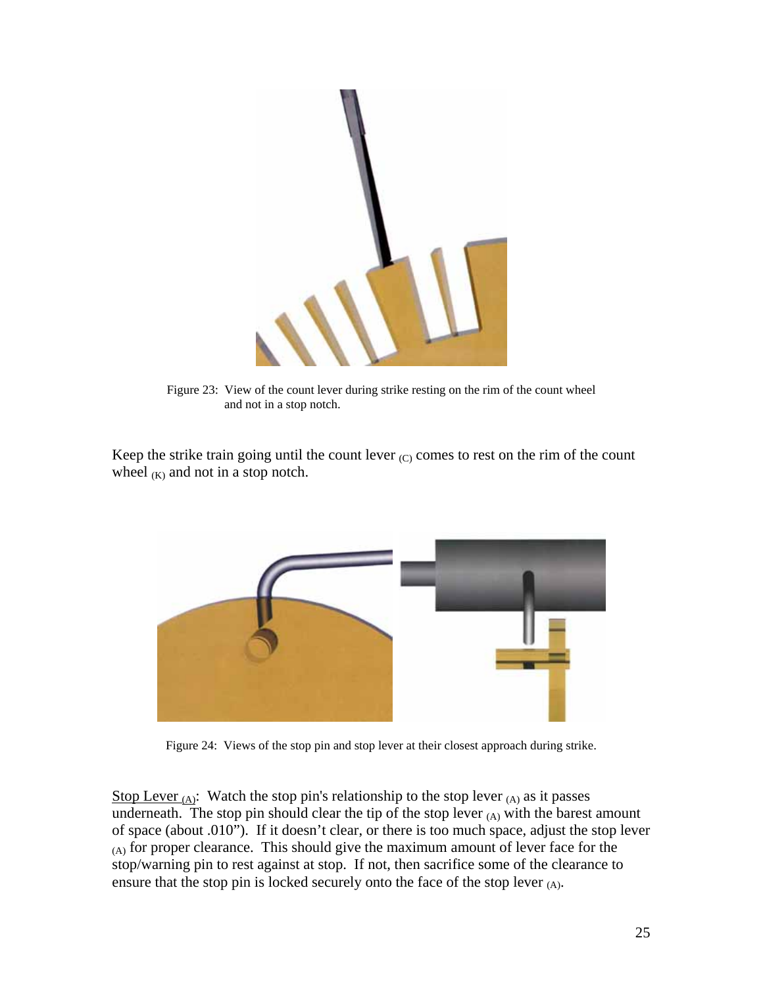

Figure 23: View of the count lever during strike resting on the rim of the count wheel and not in a stop notch.

Keep the strike train going until the count lever  $(C)$  comes to rest on the rim of the count wheel  $(K)$  and not in a stop notch.



Figure 24: Views of the stop pin and stop lever at their closest approach during strike.

Stop Lever  $(A)$ : Watch the stop pin's relationship to the stop lever  $(A)$  as it passes underneath. The stop pin should clear the tip of the stop lever  $(A)$  with the barest amount of space (about .010"). If it doesn't clear, or there is too much space, adjust the stop lever (A) for proper clearance. This should give the maximum amount of lever face for the stop/warning pin to rest against at stop. If not, then sacrifice some of the clearance to ensure that the stop pin is locked securely onto the face of the stop lever  $(A)$ .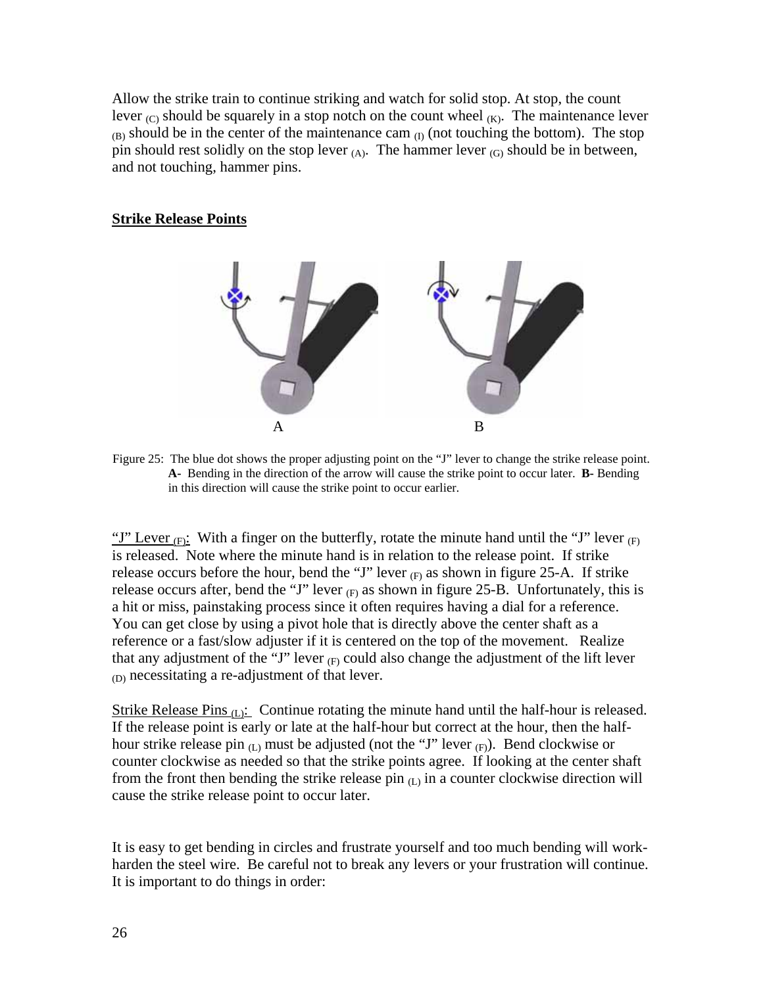Allow the strike train to continue striking and watch for solid stop. At stop, the count lever  $(C)$  should be squarely in a stop notch on the count wheel  $(K)$ . The maintenance lever  $(B)$  should be in the center of the maintenance cam  $(I)$  (not touching the bottom). The stop pin should rest solidly on the stop lever  $(A)$ . The hammer lever  $(G)$  should be in between, and not touching, hammer pins.

# **Strike Release Points**



Figure 25: The blue dot shows the proper adjusting point on the "J" lever to change the strike release point. **A-** Bending in the direction of the arrow will cause the strike point to occur later. **B-** Bending in this direction will cause the strike point to occur earlier.

"J" Lever  $(F)$ : With a finger on the butterfly, rotate the minute hand until the "J" lever  $(F)$ is released. Note where the minute hand is in relation to the release point. If strike release occurs before the hour, bend the "J" lever  $(F)$  as shown in figure 25-A. If strike release occurs after, bend the "J" lever  $(F)$  as shown in figure 25-B. Unfortunately, this is a hit or miss, painstaking process since it often requires having a dial for a reference. You can get close by using a pivot hole that is directly above the center shaft as a reference or a fast/slow adjuster if it is centered on the top of the movement. Realize that any adjustment of the "J" lever  $_F$  could also change the adjustment of the lift lever (D) necessitating a re-adjustment of that lever.

Strike Release Pins  $(L)$ : Continue rotating the minute hand until the half-hour is released. If the release point is early or late at the half-hour but correct at the hour, then the halfhour strike release pin  $(L)$  must be adjusted (not the "J" lever  $(F)$ ). Bend clockwise or counter clockwise as needed so that the strike points agree. If looking at the center shaft from the front then bending the strike release pin  $(L)$  in a counter clockwise direction will cause the strike release point to occur later.

It is easy to get bending in circles and frustrate yourself and too much bending will workharden the steel wire. Be careful not to break any levers or your frustration will continue. It is important to do things in order: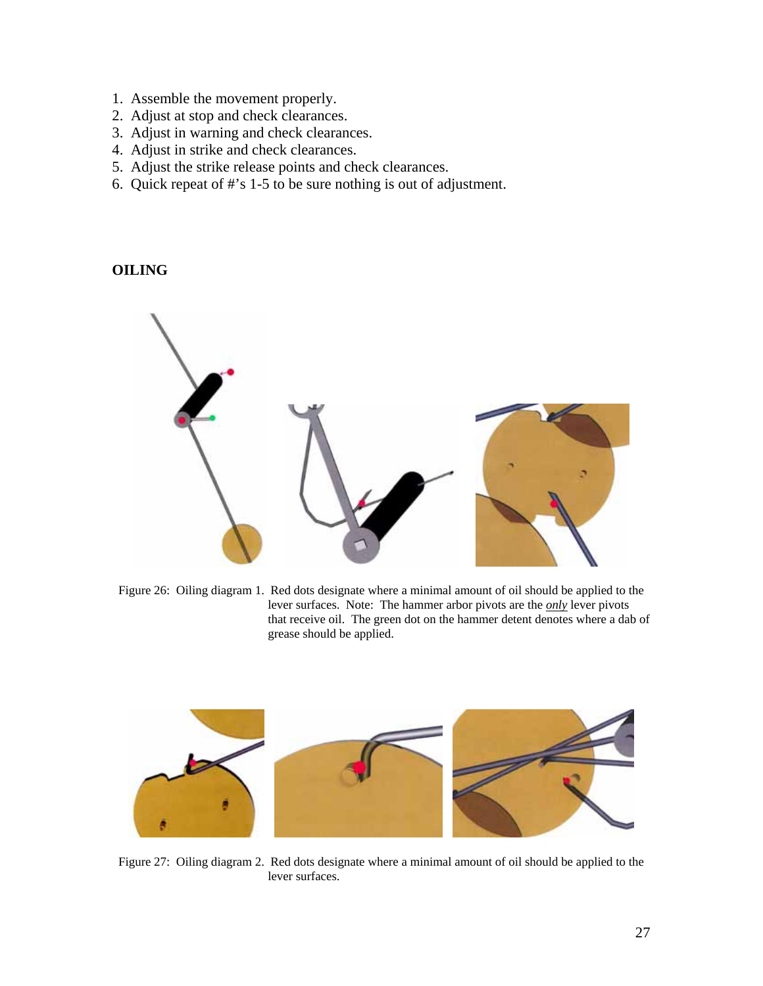- 1. Assemble the movement properly.
- 2. Adjust at stop and check clearances.
- 3. Adjust in warning and check clearances.
- 4. Adjust in strike and check clearances.
- 5. Adjust the strike release points and check clearances.
- 6. Quick repeat of #'s 1-5 to be sure nothing is out of adjustment.

# **OILING**



Figure 26: Oiling diagram 1. Red dots designate where a minimal amount of oil should be applied to the lever surfaces. Note: The hammer arbor pivots are the *only* lever pivots that receive oil. The green dot on the hammer detent denotes where a dab of grease should be applied.



Figure 27: Oiling diagram 2. Red dots designate where a minimal amount of oil should be applied to the lever surfaces.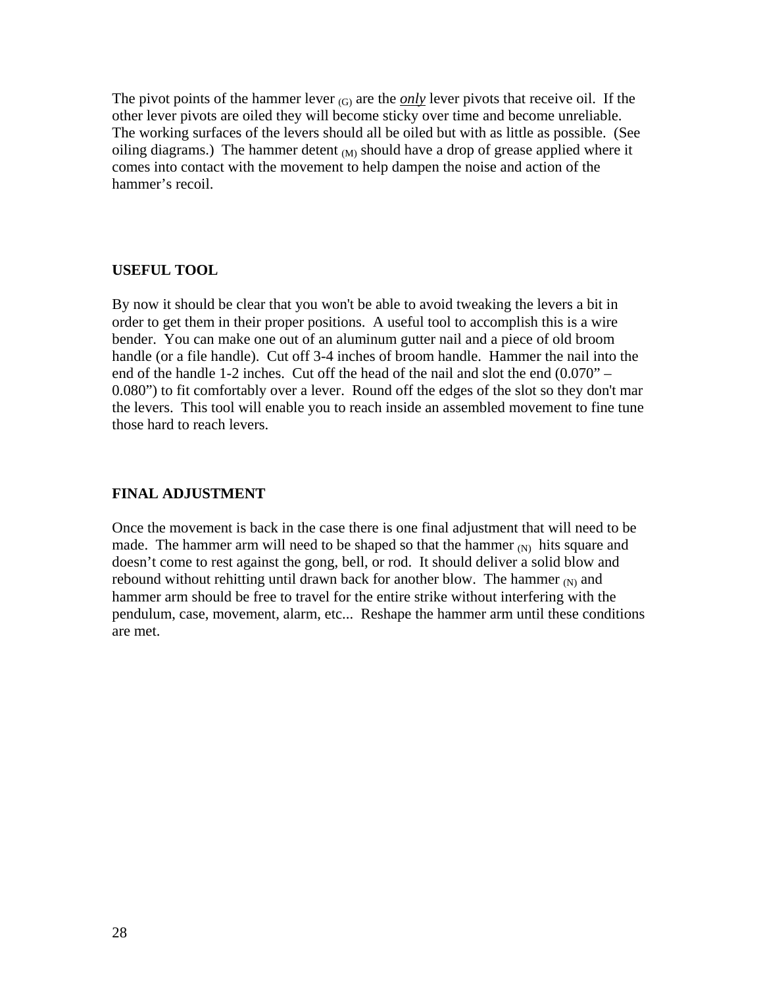The pivot points of the hammer lever  $(G)$  are the *only* lever pivots that receive oil. If the other lever pivots are oiled they will become sticky over time and become unreliable. The working surfaces of the levers should all be oiled but with as little as possible. (See oiling diagrams.) The hammer detent  $_{(M)}$  should have a drop of grease applied where it comes into contact with the movement to help dampen the noise and action of the hammer's recoil.

## **USEFUL TOOL**

By now it should be clear that you won't be able to avoid tweaking the levers a bit in order to get them in their proper positions. A useful tool to accomplish this is a wire bender. You can make one out of an aluminum gutter nail and a piece of old broom handle (or a file handle). Cut off 3-4 inches of broom handle. Hammer the nail into the end of the handle 1-2 inches. Cut off the head of the nail and slot the end (0.070" – 0.080") to fit comfortably over a lever. Round off the edges of the slot so they don't mar the levers. This tool will enable you to reach inside an assembled movement to fine tune those hard to reach levers.

## **FINAL ADJUSTMENT**

Once the movement is back in the case there is one final adjustment that will need to be made. The hammer arm will need to be shaped so that the hammer  $_{(N)}$  hits square and doesn't come to rest against the gong, bell, or rod. It should deliver a solid blow and rebound without rehitting until drawn back for another blow. The hammer  $_N$  and hammer arm should be free to travel for the entire strike without interfering with the pendulum, case, movement, alarm, etc... Reshape the hammer arm until these conditions are met.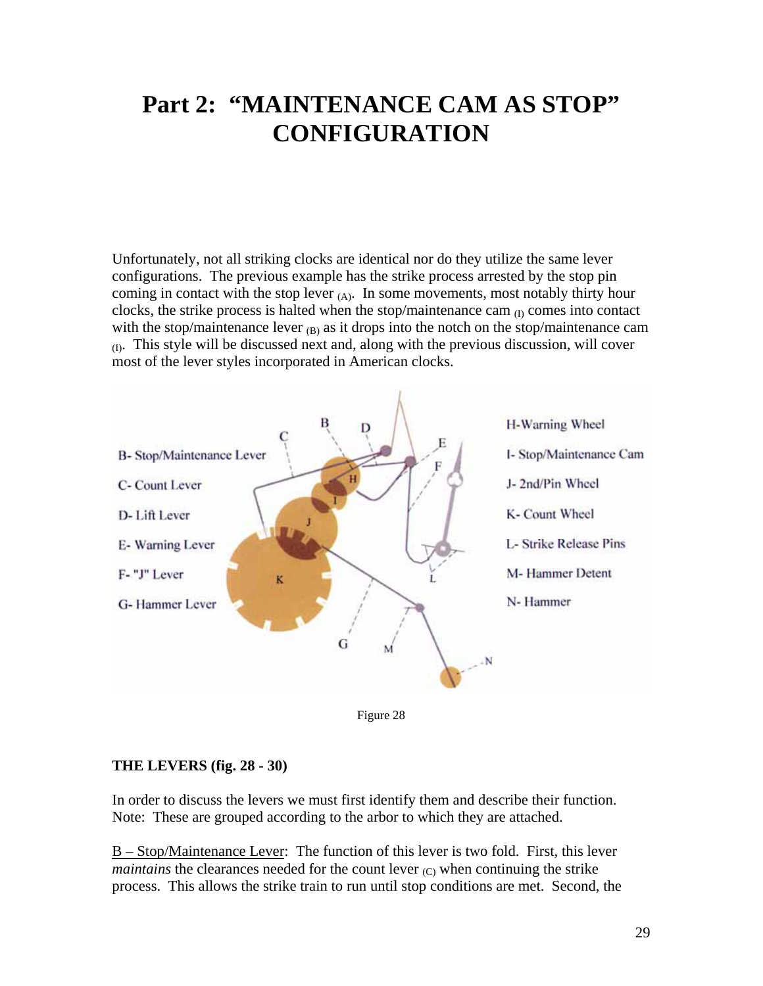# **Part 2: "MAINTENANCE CAM AS STOP" CONFIGURATION**

Unfortunately, not all striking clocks are identical nor do they utilize the same lever configurations. The previous example has the strike process arrested by the stop pin coming in contact with the stop lever  $(A)$ . In some movements, most notably thirty hour clocks, the strike process is halted when the stop/maintenance cam  $_{(I)}$  comes into contact with the stop/maintenance lever  $_{(B)}$  as it drops into the notch on the stop/maintenance cam  $_{(1)}$ . This style will be discussed next and, along with the previous discussion, will cover most of the lever styles incorporated in American clocks.



Figure 28

## **THE LEVERS (fig. 28 - 30)**

In order to discuss the levers we must first identify them and describe their function. Note: These are grouped according to the arbor to which they are attached.

B – Stop/Maintenance Lever: The function of this lever is two fold. First, this lever *maintains* the clearances needed for the count lever <sub>(C)</sub> when continuing the strike process. This allows the strike train to run until stop conditions are met. Second, the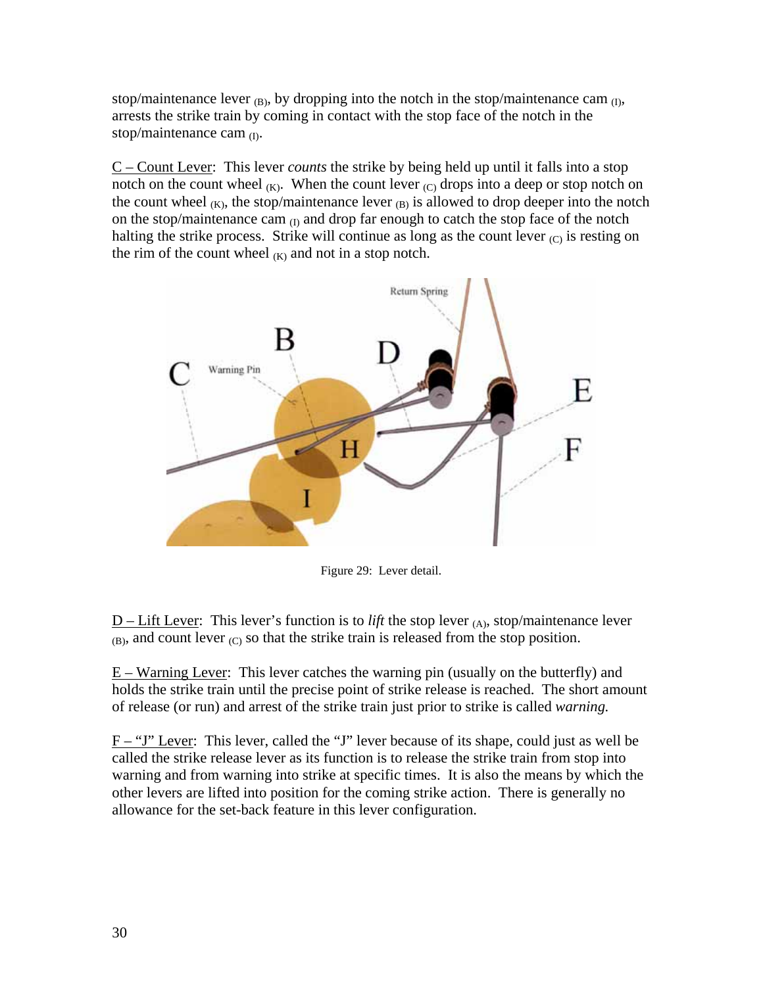stop/maintenance lever  $_{(B)}$ , by dropping into the notch in the stop/maintenance cam  $_{(I)}$ , arrests the strike train by coming in contact with the stop face of the notch in the stop/maintenance cam  $_{(I)}$ .

C – Count Lever: This lever *counts* the strike by being held up until it falls into a stop notch on the count wheel  $(K)$ . When the count lever  $(C)$  drops into a deep or stop notch on the count wheel  $(K)$ , the stop/maintenance lever  $(B)$  is allowed to drop deeper into the notch on the stop/maintenance cam  $(I)$  and drop far enough to catch the stop face of the notch halting the strike process. Strike will continue as long as the count lever  $(C)$  is resting on the rim of the count wheel  $(K)$  and not in a stop notch.



Figure 29: Lever detail.

 $D$  – Lift Lever: This lever's function is to *lift* the stop lever  $(A)$ , stop/maintenance lever  $(B)$ , and count lever  $(C)$  so that the strike train is released from the stop position.

E – Warning Lever: This lever catches the warning pin (usually on the butterfly) and holds the strike train until the precise point of strike release is reached. The short amount of release (or run) and arrest of the strike train just prior to strike is called *warning.*

F – "J" Lever: This lever, called the "J" lever because of its shape, could just as well be called the strike release lever as its function is to release the strike train from stop into warning and from warning into strike at specific times. It is also the means by which the other levers are lifted into position for the coming strike action. There is generally no allowance for the set-back feature in this lever configuration.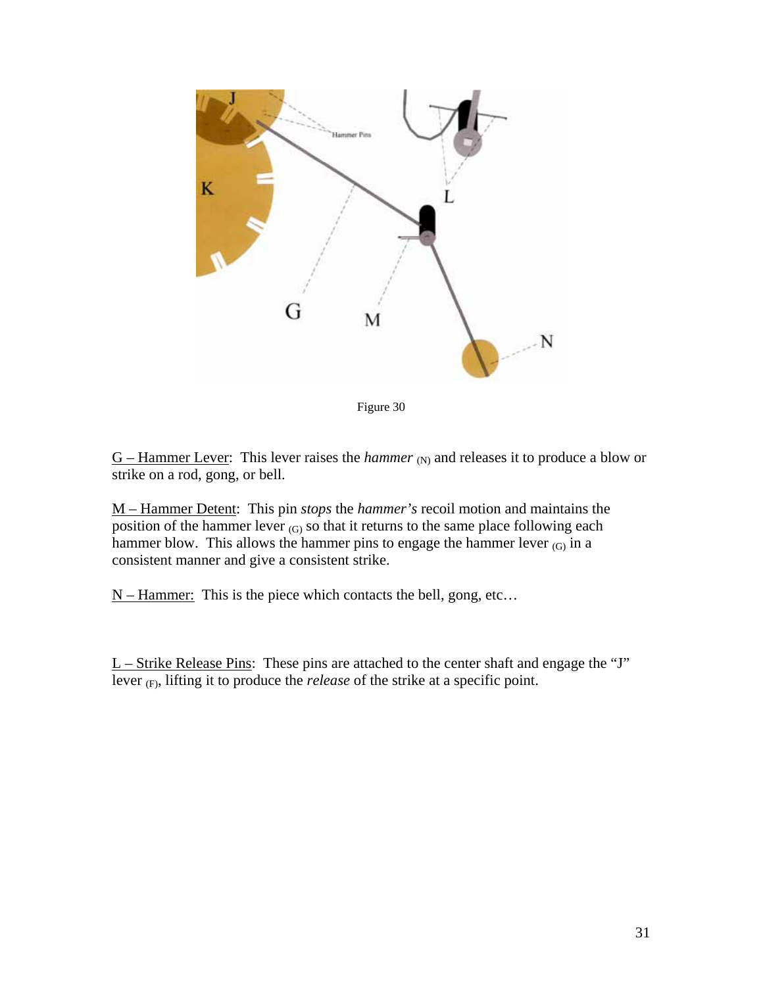

Figure 30

 $G$  – Hammer Lever: This lever raises the *hammer* (N) and releases it to produce a blow or strike on a rod, gong, or bell.

M – Hammer Detent: This pin *stops* the *hammer's* recoil motion and maintains the position of the hammer lever  $(G)$  so that it returns to the same place following each hammer blow. This allows the hammer pins to engage the hammer lever  $(G)$  in a consistent manner and give a consistent strike.

 $N -$  Hammer: This is the piece which contacts the bell, gong, etc...

 $L$  – Strike Release Pins: These pins are attached to the center shaft and engage the "J" lever (F), lifting it to produce the *release* of the strike at a specific point.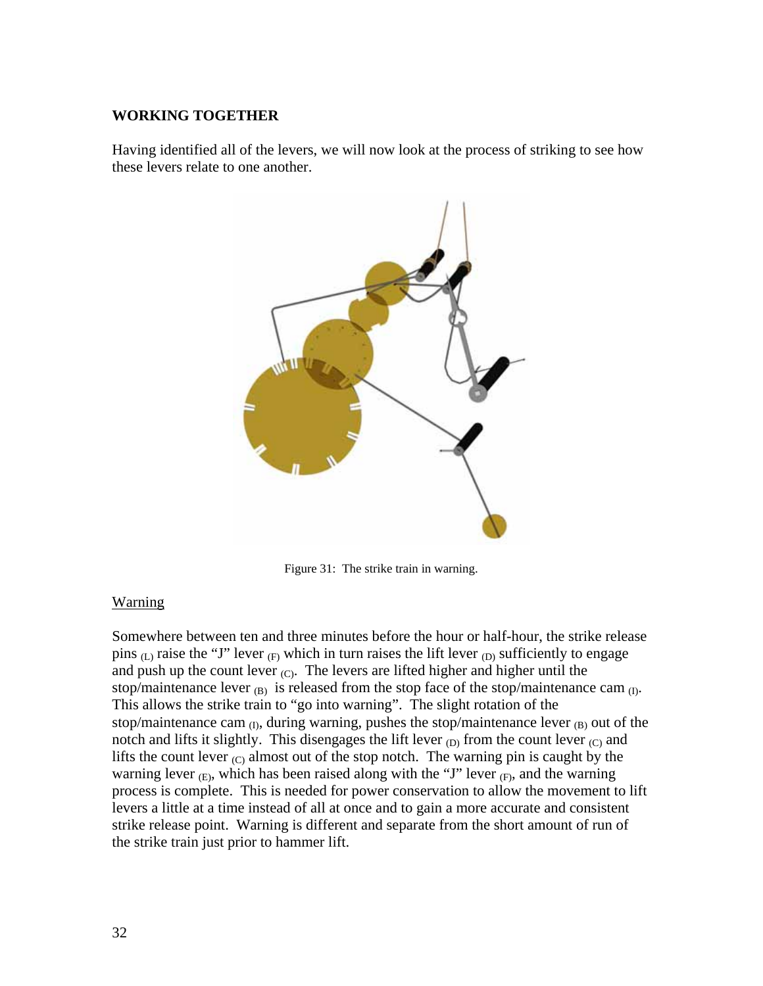# **WORKING TOGETHER**

Having identified all of the levers, we will now look at the process of striking to see how these levers relate to one another.



Figure 31: The strike train in warning.

# Warning

Somewhere between ten and three minutes before the hour or half-hour, the strike release pins  $(L)$  raise the "J" lever  $(F)$  which in turn raises the lift lever  $(D)$  sufficiently to engage and push up the count lever  $(C)$ . The levers are lifted higher and higher until the stop/maintenance lever  $(B)$  is released from the stop face of the stop/maintenance cam  $(D)$ . This allows the strike train to "go into warning". The slight rotation of the stop/maintenance cam  $_{(I)}$ , during warning, pushes the stop/maintenance lever  $_{(B)}$  out of the notch and lifts it slightly. This disengages the lift lever  $_{\text{CD}}$  from the count lever  $_{\text{C}}$  and lifts the count lever  $(C)$  almost out of the stop notch. The warning pin is caught by the warning lever  $_{(E)}$ , which has been raised along with the "J" lever  $_{(F)}$ , and the warning process is complete. This is needed for power conservation to allow the movement to lift levers a little at a time instead of all at once and to gain a more accurate and consistent strike release point. Warning is different and separate from the short amount of run of the strike train just prior to hammer lift.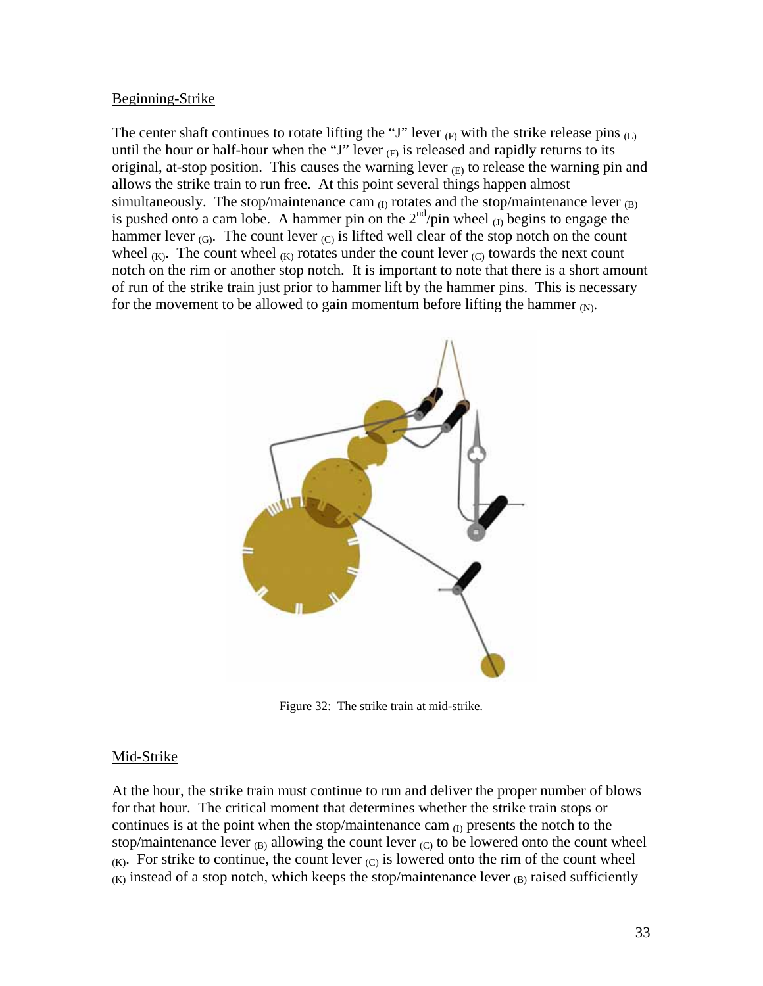## Beginning-Strike

The center shaft continues to rotate lifting the "J" lever  $_{(F)}$  with the strike release pins  $_{(L)}$ until the hour or half-hour when the "J" lever  $_{(F)}$  is released and rapidly returns to its original, at-stop position. This causes the warning lever  $_{\text{E}}$  to release the warning pin and allows the strike train to run free. At this point several things happen almost simultaneously. The stop/maintenance cam  $_{(I)}$  rotates and the stop/maintenance lever  $_{(B)}$ is pushed onto a cam lobe. A hammer pin on the  $2<sup>nd</sup>/pin$  wheel  $\overline{J}_1$  begins to engage the hammer lever  $(G)$ . The count lever  $(C)$  is lifted well clear of the stop notch on the count wheel  $(K)$ . The count wheel  $(K)$  rotates under the count lever  $(C)$  towards the next count notch on the rim or another stop notch. It is important to note that there is a short amount of run of the strike train just prior to hammer lift by the hammer pins. This is necessary for the movement to be allowed to gain momentum before lifting the hammer  $(N)$ .



Figure 32: The strike train at mid-strike.

# Mid-Strike

At the hour, the strike train must continue to run and deliver the proper number of blows for that hour. The critical moment that determines whether the strike train stops or continues is at the point when the stop/maintenance cam  $_{(I)}$  presents the notch to the stop/maintenance lever  $_{(B)}$  allowing the count lever  $_{(C)}$  to be lowered onto the count wheel  $(K)$ . For strike to continue, the count lever  $(C)$  is lowered onto the rim of the count wheel  $(K)$  instead of a stop notch, which keeps the stop/maintenance lever  $(B)$  raised sufficiently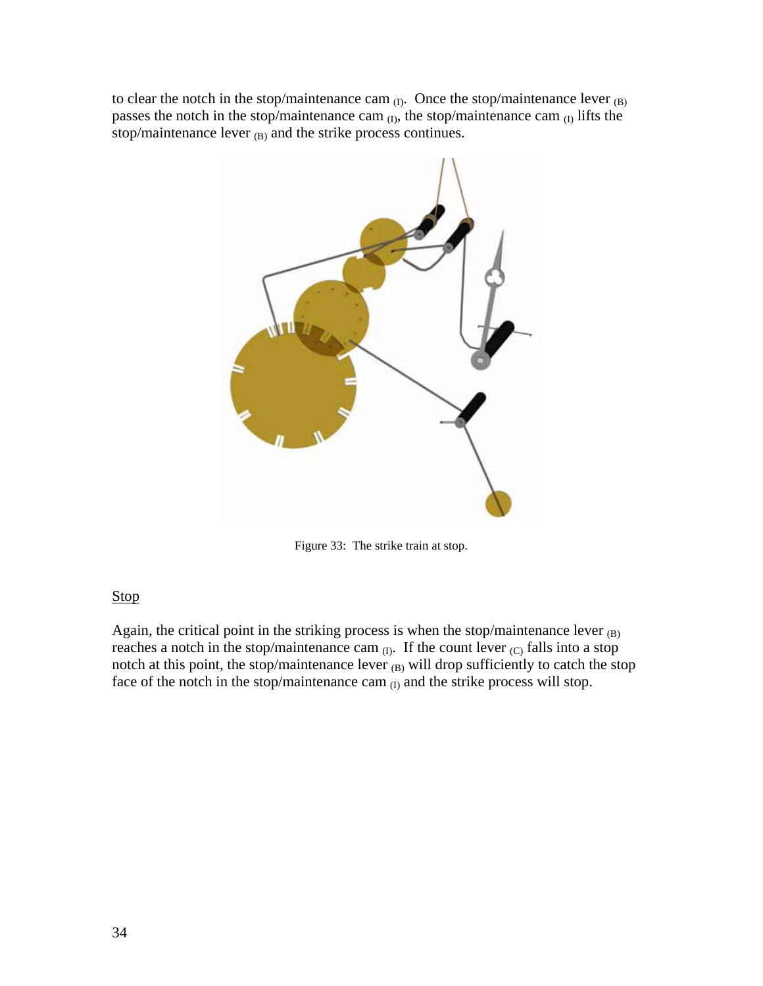to clear the notch in the stop/maintenance cam  $_{(I)}$ . Once the stop/maintenance lever  $_{(B)}$ passes the notch in the stop/maintenance cam  $_{(I)}$ , the stop/maintenance cam  $_{(I)}$  lifts the stop/maintenance lever  $_{(B)}$  and the strike process continues.



Figure 33: The strike train at stop.

# Stop

Again, the critical point in the striking process is when the stop/maintenance lever  $_{(B)}$ reaches a notch in the stop/maintenance cam  $_{(I)}$ . If the count lever  $_{(C)}$  falls into a stop notch at this point, the stop/maintenance lever  $_{(B)}$  will drop sufficiently to catch the stop face of the notch in the stop/maintenance cam  $(I)$  and the strike process will stop.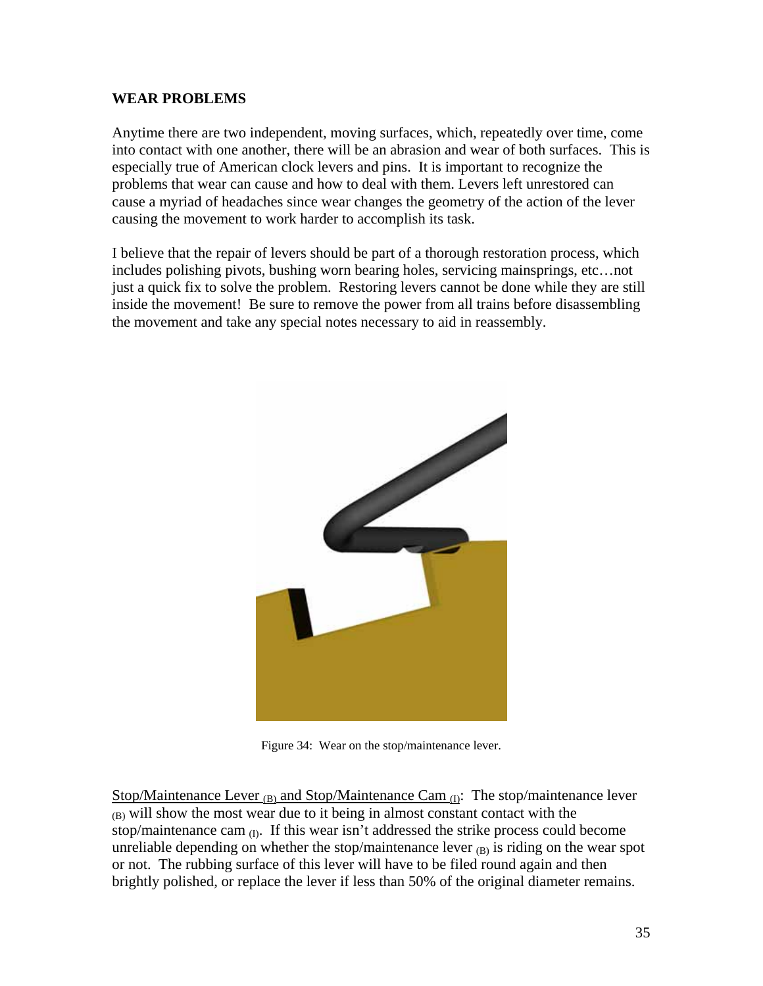# **WEAR PROBLEMS**

Anytime there are two independent, moving surfaces, which, repeatedly over time, come into contact with one another, there will be an abrasion and wear of both surfaces. This is especially true of American clock levers and pins. It is important to recognize the problems that wear can cause and how to deal with them. Levers left unrestored can cause a myriad of headaches since wear changes the geometry of the action of the lever causing the movement to work harder to accomplish its task.

I believe that the repair of levers should be part of a thorough restoration process, which includes polishing pivots, bushing worn bearing holes, servicing mainsprings, etc…not just a quick fix to solve the problem. Restoring levers cannot be done while they are still inside the movement! Be sure to remove the power from all trains before disassembling the movement and take any special notes necessary to aid in reassembly.



Figure 34: Wear on the stop/maintenance lever.

Stop/Maintenance Lever  $_{(B)}$  and Stop/Maintenance Cam  $_{(D)}$ : The stop/maintenance lever  $(B)$  will show the most wear due to it being in almost constant contact with the stop/maintenance cam  $_{(1)}$ . If this wear isn't addressed the strike process could become unreliable depending on whether the stop/maintenance lever  $_{(B)}$  is riding on the wear spot or not. The rubbing surface of this lever will have to be filed round again and then brightly polished, or replace the lever if less than 50% of the original diameter remains.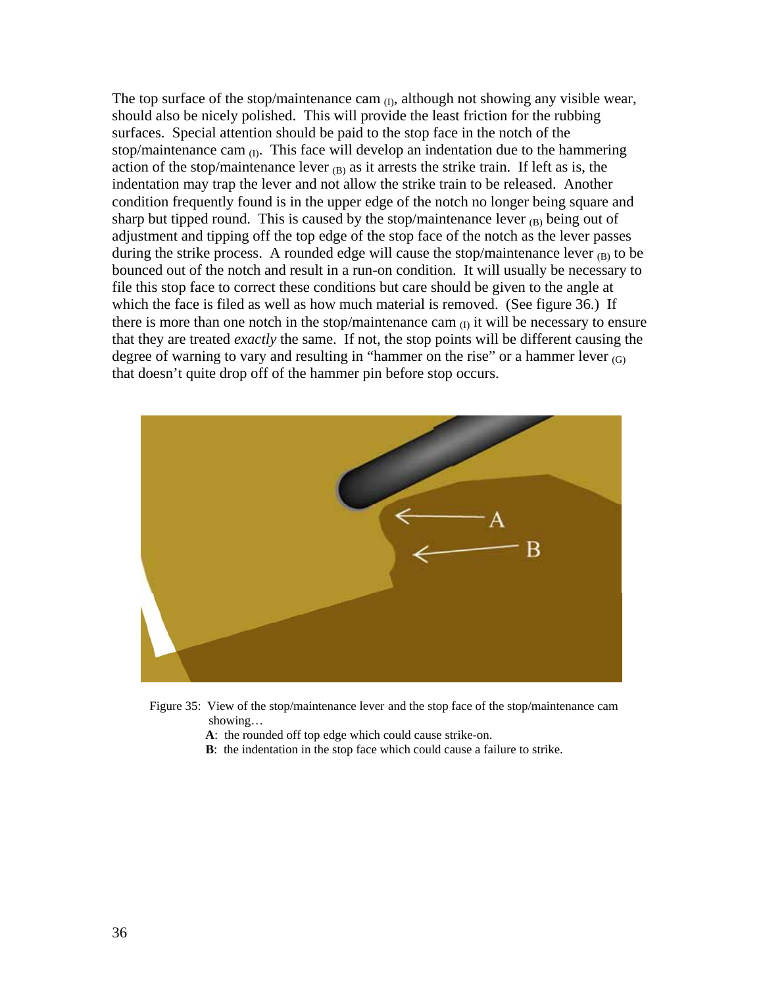The top surface of the stop/maintenance cam  $_{(I)}$ , although not showing any visible wear, should also be nicely polished. This will provide the least friction for the rubbing surfaces. Special attention should be paid to the stop face in the notch of the stop/maintenance cam  $_{(I)}$ . This face will develop an indentation due to the hammering action of the stop/maintenance lever  $_{(B)}$  as it arrests the strike train. If left as is, the indentation may trap the lever and not allow the strike train to be released. Another condition frequently found is in the upper edge of the notch no longer being square and sharp but tipped round. This is caused by the stop/maintenance lever  $_B$  being out of adjustment and tipping off the top edge of the stop face of the notch as the lever passes during the strike process. A rounded edge will cause the stop/maintenance lever  $_{\text{(B)}}$  to be bounced out of the notch and result in a run-on condition. It will usually be necessary to file this stop face to correct these conditions but care should be given to the angle at which the face is filed as well as how much material is removed. (See figure 36.) If there is more than one notch in the stop/maintenance cam  $_{(I)}$  it will be necessary to ensure that they are treated *exactly* the same. If not, the stop points will be different causing the degree of warning to vary and resulting in "hammer on the rise" or a hammer lever  $(G)$ that doesn't quite drop off of the hammer pin before stop occurs.



 Figure 35: View of the stop/maintenance lever and the stop face of the stop/maintenance cam showing…

**A**: the rounded off top edge which could cause strike-on.

**B**: the indentation in the stop face which could cause a failure to strike.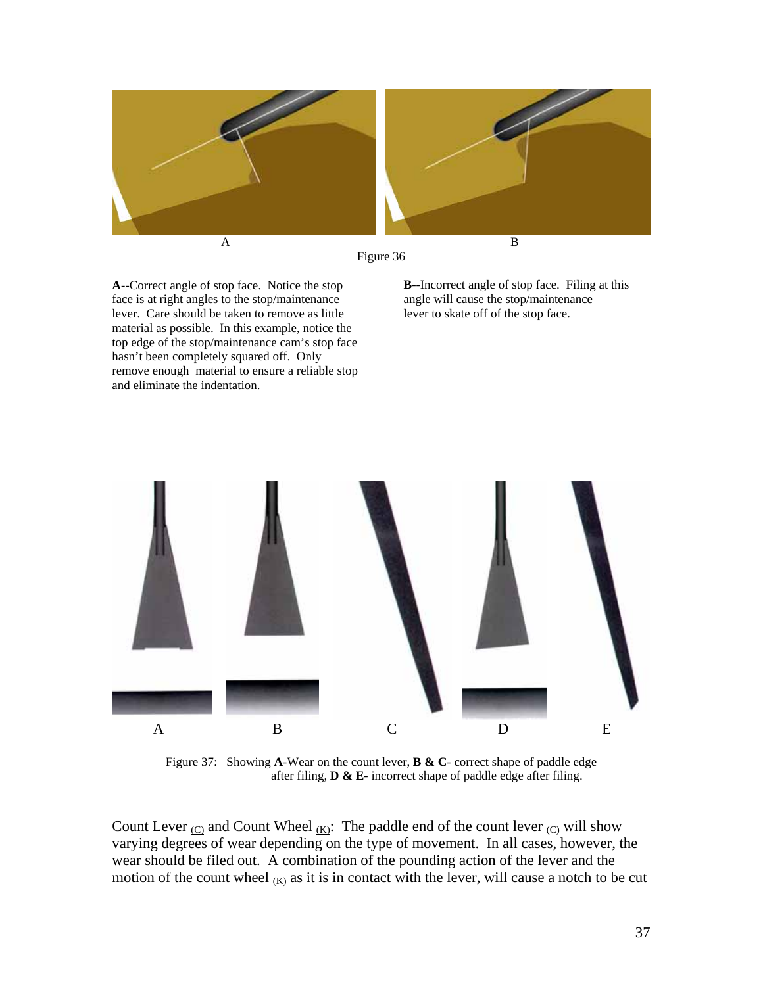



**A**--Correct angle of stop face. Notice the stop face is at right angles to the stop/maintenance lever. Care should be taken to remove as little material as possible. In this example, notice the top edge of the stop/maintenance cam's stop face hasn't been completely squared off. Only remove enough material to ensure a reliable stop and eliminate the indentation.

**B**--Incorrect angle of stop face. Filing at this angle will cause the stop/maintenance lever to skate off of the stop face.



Figure 37: Showing **A**-Wear on the count lever, **B & C**- correct shape of paddle edge after filing, **D & E**- incorrect shape of paddle edge after filing.

Count Lever  $_{(C)}$  and Count Wheel  $_{(K)}$ : The paddle end of the count lever  $_{(C)}$  will show varying degrees of wear depending on the type of movement. In all cases, however, the wear should be filed out. A combination of the pounding action of the lever and the motion of the count wheel  $(K)$  as it is in contact with the lever, will cause a notch to be cut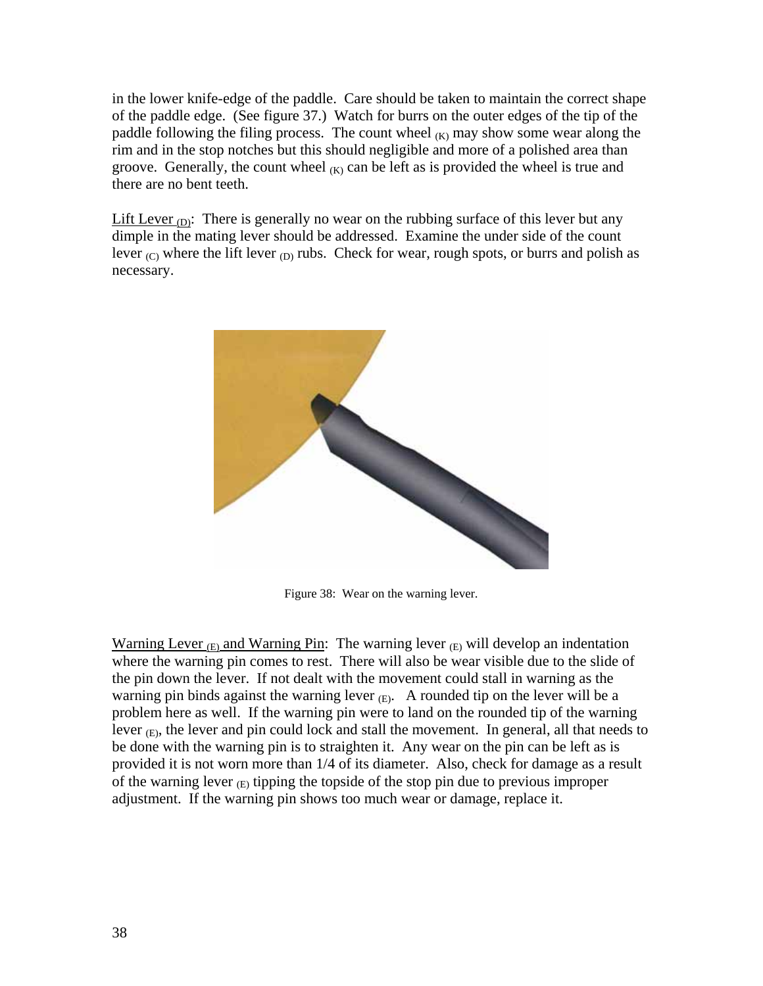in the lower knife-edge of the paddle. Care should be taken to maintain the correct shape of the paddle edge. (See figure 37.) Watch for burrs on the outer edges of the tip of the paddle following the filing process. The count wheel  $(K)$  may show some wear along the rim and in the stop notches but this should negligible and more of a polished area than groove. Generally, the count wheel  $(K)$  can be left as is provided the wheel is true and there are no bent teeth.

Lift Lever  $_{\text{(D)}}$ : There is generally no wear on the rubbing surface of this lever but any dimple in the mating lever should be addressed. Examine the under side of the count lever  $_{\text{(C)}}$  where the lift lever  $_{\text{(D)}}$  rubs. Check for wear, rough spots, or burrs and polish as necessary.



Figure 38: Wear on the warning lever.

Warning Lever  $_{(E)}$  and Warning Pin: The warning lever  $_{(E)}$  will develop an indentation where the warning pin comes to rest. There will also be wear visible due to the slide of the pin down the lever. If not dealt with the movement could stall in warning as the warning pin binds against the warning lever  $(E)$ . A rounded tip on the lever will be a problem here as well. If the warning pin were to land on the rounded tip of the warning lever  $(E)$ , the lever and pin could lock and stall the movement. In general, all that needs to be done with the warning pin is to straighten it. Any wear on the pin can be left as is provided it is not worn more than 1/4 of its diameter. Also, check for damage as a result of the warning lever  $(F)$  tipping the topside of the stop pin due to previous improper adjustment. If the warning pin shows too much wear or damage, replace it.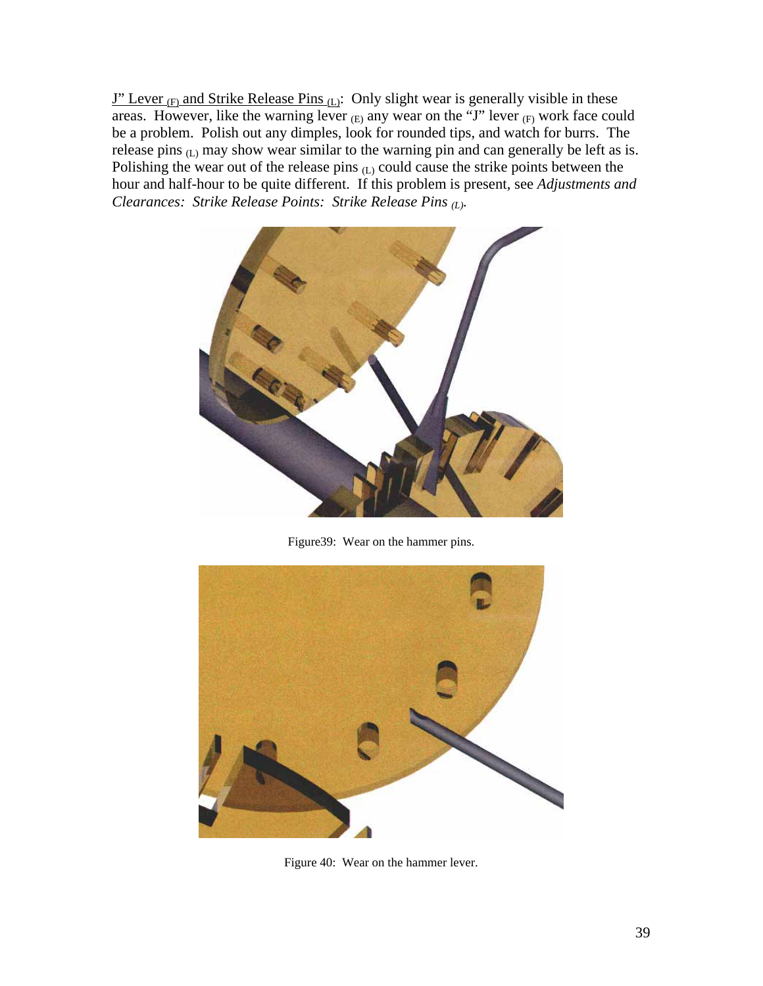$J''$  Lever <sub>(F)</sub> and Strike Release Pins (L): Only slight wear is generally visible in these areas. However, like the warning lever  $(E)$  any wear on the "J" lever  $(E)$  work face could be a problem. Polish out any dimples, look for rounded tips, and watch for burrs. The release pins (L) may show wear similar to the warning pin and can generally be left as is. Polishing the wear out of the release pins  $(L)$  could cause the strike points between the hour and half-hour to be quite different. If this problem is present, see *Adjustments and Clearances: Strike Release Points: Strike Release Pins (L).* 



Figure39: Wear on the hammer pins.



Figure 40: Wear on the hammer lever.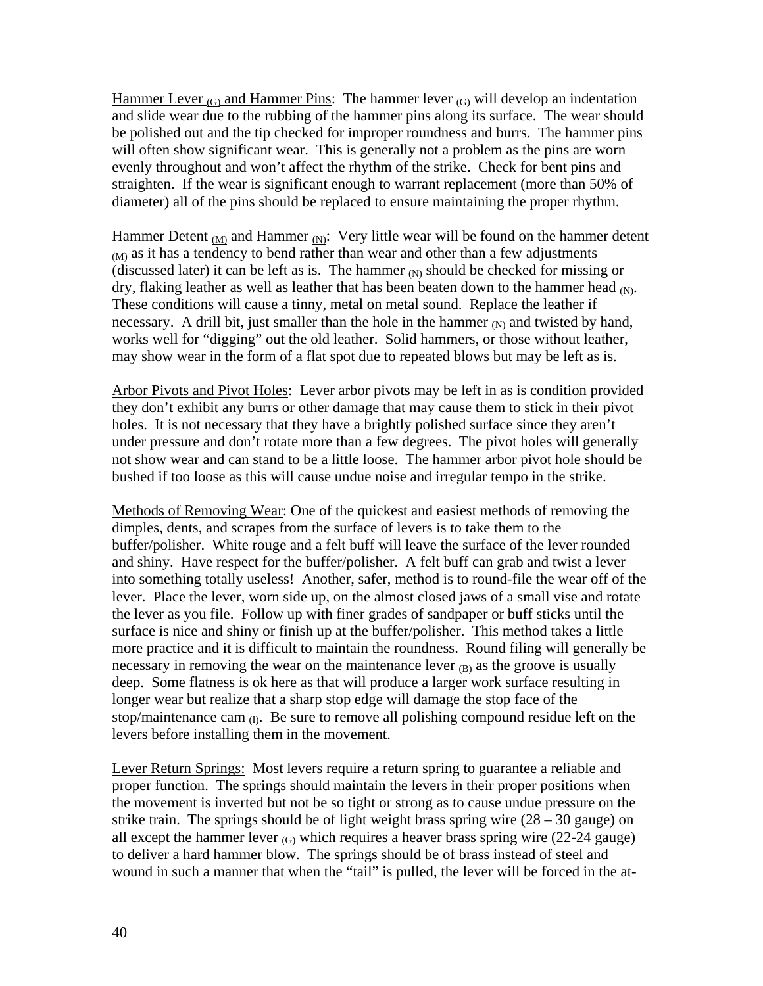Hammer Lever  $(G)$  and Hammer Pins: The hammer lever  $(G)$  will develop an indentation and slide wear due to the rubbing of the hammer pins along its surface. The wear should be polished out and the tip checked for improper roundness and burrs. The hammer pins will often show significant wear. This is generally not a problem as the pins are worn evenly throughout and won't affect the rhythm of the strike. Check for bent pins and straighten. If the wear is significant enough to warrant replacement (more than 50% of diameter) all of the pins should be replaced to ensure maintaining the proper rhythm.

Hammer Detent (M) and Hammer (N): Very little wear will be found on the hammer detent  $(M)$  as it has a tendency to bend rather than wear and other than a few adjustments (discussed later) it can be left as is. The hammer  $(N)$  should be checked for missing or dry, flaking leather as well as leather that has been beaten down to the hammer head  $(N)$ . These conditions will cause a tinny, metal on metal sound. Replace the leather if necessary. A drill bit, just smaller than the hole in the hammer  $_N$  and twisted by hand, works well for "digging" out the old leather. Solid hammers, or those without leather, may show wear in the form of a flat spot due to repeated blows but may be left as is.

Arbor Pivots and Pivot Holes: Lever arbor pivots may be left in as is condition provided they don't exhibit any burrs or other damage that may cause them to stick in their pivot holes. It is not necessary that they have a brightly polished surface since they aren't under pressure and don't rotate more than a few degrees. The pivot holes will generally not show wear and can stand to be a little loose. The hammer arbor pivot hole should be bushed if too loose as this will cause undue noise and irregular tempo in the strike.

Methods of Removing Wear: One of the quickest and easiest methods of removing the dimples, dents, and scrapes from the surface of levers is to take them to the buffer/polisher. White rouge and a felt buff will leave the surface of the lever rounded and shiny. Have respect for the buffer/polisher. A felt buff can grab and twist a lever into something totally useless! Another, safer, method is to round-file the wear off of the lever. Place the lever, worn side up, on the almost closed jaws of a small vise and rotate the lever as you file. Follow up with finer grades of sandpaper or buff sticks until the surface is nice and shiny or finish up at the buffer/polisher. This method takes a little more practice and it is difficult to maintain the roundness. Round filing will generally be necessary in removing the wear on the maintenance lever  $_{(B)}$  as the groove is usually deep. Some flatness is ok here as that will produce a larger work surface resulting in longer wear but realize that a sharp stop edge will damage the stop face of the stop/maintenance cam  $_{(I)}$ . Be sure to remove all polishing compound residue left on the levers before installing them in the movement.

Lever Return Springs: Most levers require a return spring to guarantee a reliable and proper function. The springs should maintain the levers in their proper positions when the movement is inverted but not be so tight or strong as to cause undue pressure on the strike train. The springs should be of light weight brass spring wire  $(28 - 30)$  gauge) on all except the hammer lever  $(G)$  which requires a heaver brass spring wire (22-24 gauge) to deliver a hard hammer blow. The springs should be of brass instead of steel and wound in such a manner that when the "tail" is pulled, the lever will be forced in the at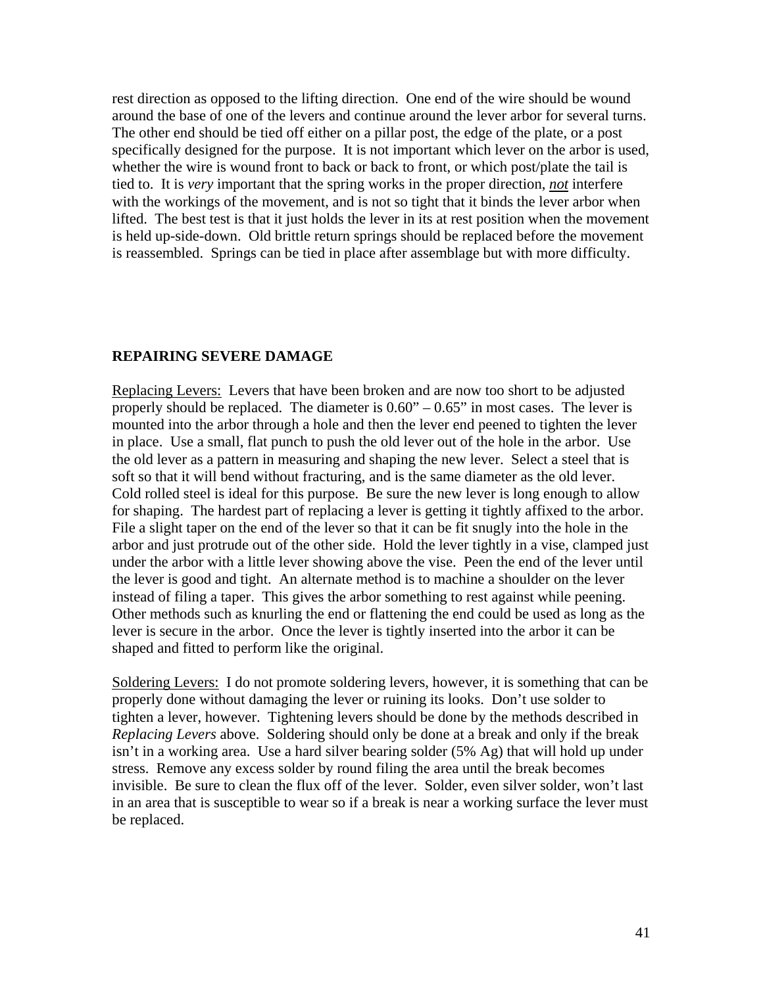rest direction as opposed to the lifting direction. One end of the wire should be wound around the base of one of the levers and continue around the lever arbor for several turns. The other end should be tied off either on a pillar post, the edge of the plate, or a post specifically designed for the purpose. It is not important which lever on the arbor is used, whether the wire is wound front to back or back to front, or which post/plate the tail is tied to. It is *very* important that the spring works in the proper direction, *not* interfere with the workings of the movement, and is not so tight that it binds the lever arbor when lifted. The best test is that it just holds the lever in its at rest position when the movement is held up-side-down. Old brittle return springs should be replaced before the movement is reassembled. Springs can be tied in place after assemblage but with more difficulty.

## **REPAIRING SEVERE DAMAGE**

Replacing Levers: Levers that have been broken and are now too short to be adjusted properly should be replaced. The diameter is  $0.60" - 0.65"$  in most cases. The lever is mounted into the arbor through a hole and then the lever end peened to tighten the lever in place. Use a small, flat punch to push the old lever out of the hole in the arbor. Use the old lever as a pattern in measuring and shaping the new lever. Select a steel that is soft so that it will bend without fracturing, and is the same diameter as the old lever. Cold rolled steel is ideal for this purpose. Be sure the new lever is long enough to allow for shaping. The hardest part of replacing a lever is getting it tightly affixed to the arbor. File a slight taper on the end of the lever so that it can be fit snugly into the hole in the arbor and just protrude out of the other side. Hold the lever tightly in a vise, clamped just under the arbor with a little lever showing above the vise. Peen the end of the lever until the lever is good and tight. An alternate method is to machine a shoulder on the lever instead of filing a taper. This gives the arbor something to rest against while peening. Other methods such as knurling the end or flattening the end could be used as long as the lever is secure in the arbor. Once the lever is tightly inserted into the arbor it can be shaped and fitted to perform like the original.

Soldering Levers: I do not promote soldering levers, however, it is something that can be properly done without damaging the lever or ruining its looks. Don't use solder to tighten a lever, however. Tightening levers should be done by the methods described in *Replacing Levers* above. Soldering should only be done at a break and only if the break isn't in a working area. Use a hard silver bearing solder (5% Ag) that will hold up under stress. Remove any excess solder by round filing the area until the break becomes invisible. Be sure to clean the flux off of the lever. Solder, even silver solder, won't last in an area that is susceptible to wear so if a break is near a working surface the lever must be replaced.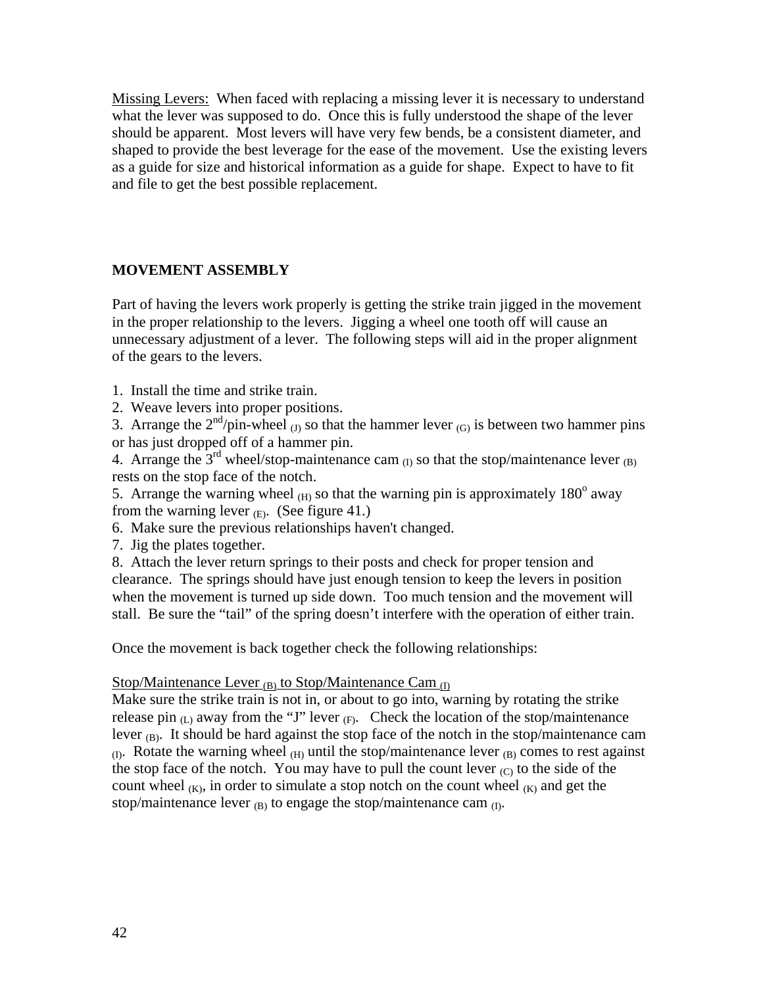Missing Levers: When faced with replacing a missing lever it is necessary to understand what the lever was supposed to do. Once this is fully understood the shape of the lever should be apparent. Most levers will have very few bends, be a consistent diameter, and shaped to provide the best leverage for the ease of the movement. Use the existing levers as a guide for size and historical information as a guide for shape. Expect to have to fit and file to get the best possible replacement.

# **MOVEMENT ASSEMBLY**

Part of having the levers work properly is getting the strike train jigged in the movement in the proper relationship to the levers. Jigging a wheel one tooth off will cause an unnecessary adjustment of a lever. The following steps will aid in the proper alignment of the gears to the levers.

- 1. Install the time and strike train.
- 2. Weave levers into proper positions.

3. Arrange the  $2<sup>nd</sup>/pin-wheel$  (J) so that the hammer lever (G) is between two hammer pins or has just dropped off of a hammer pin.

4. Arrange the  $3<sup>rd</sup>$  wheel/stop-maintenance cam  $_{(1)}$  so that the stop/maintenance lever  $_{(B)}$ rests on the stop face of the notch.

5. Arrange the warning wheel  $(H)$  so that the warning pin is approximately 180 $^{\circ}$  away from the warning lever  $(E)$ . (See figure 41.)

6. Make sure the previous relationships haven't changed.

7. Jig the plates together.

8. Attach the lever return springs to their posts and check for proper tension and clearance. The springs should have just enough tension to keep the levers in position when the movement is turned up side down. Too much tension and the movement will stall. Be sure the "tail" of the spring doesn't interfere with the operation of either train.

Once the movement is back together check the following relationships:

## Stop/Maintenance Lever  $_{(B)}$  to Stop/Maintenance Cam  $_{(I)}$

Make sure the strike train is not in, or about to go into, warning by rotating the strike release pin  $(L)$  away from the "J" lever  $(F)$ . Check the location of the stop/maintenance lever  $_{\text{(B)}}$ . It should be hard against the stop face of the notch in the stop/maintenance cam (I). Rotate the warning wheel (H) until the stop/maintenance lever (B) comes to rest against the stop face of the notch. You may have to pull the count lever  $(C)$  to the side of the count wheel  $(K)$ , in order to simulate a stop notch on the count wheel  $(K)$  and get the stop/maintenance lever  $_{(B)}$  to engage the stop/maintenance cam  $_{(I)}$ .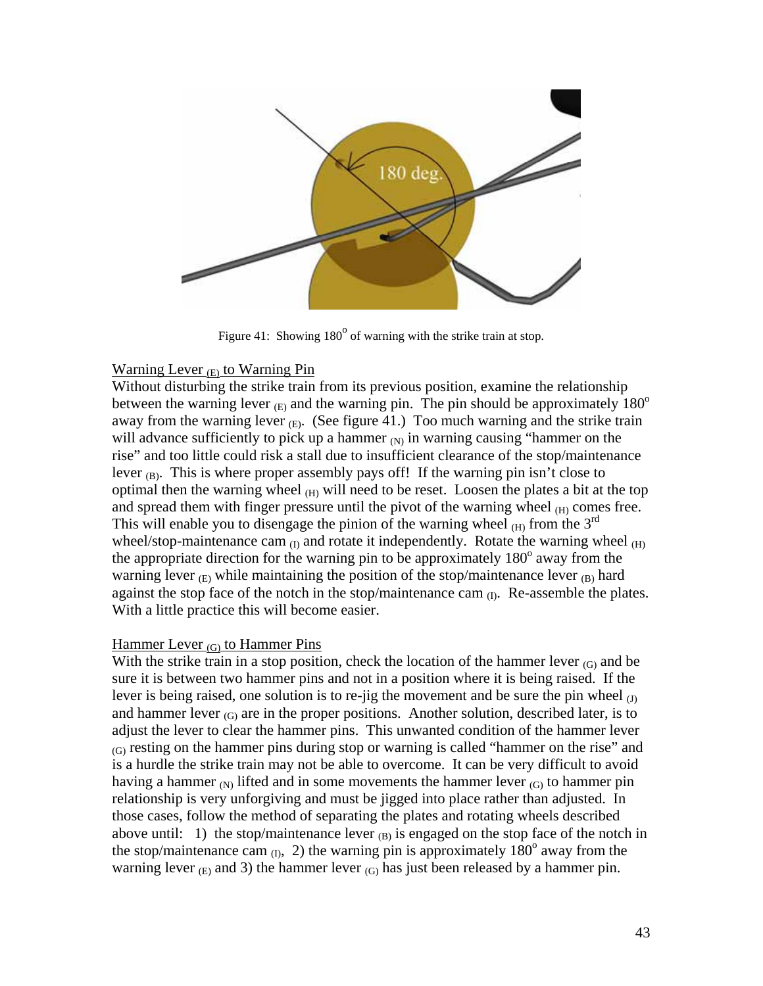

Figure 41: Showing  $180^{\circ}$  of warning with the strike train at stop.

# Warning Lever  $(E)$  to Warning Pin

Without disturbing the strike train from its previous position, examine the relationship between the warning lever  $(E)$  and the warning pin. The pin should be approximately 180<sup>o</sup> away from the warning lever  $(E)$ . (See figure 41.) Too much warning and the strike train will advance sufficiently to pick up a hammer  $(N)$  in warning causing "hammer on the rise" and too little could risk a stall due to insufficient clearance of the stop/maintenance lever  $_{\text{(B)}}$ . This is where proper assembly pays off! If the warning pin isn't close to optimal then the warning wheel  $_{(H)}$  will need to be reset. Loosen the plates a bit at the top and spread them with finger pressure until the pivot of the warning wheel  $_{(H)}$  comes free. This will enable you to disengage the pinion of the warning wheel  $(H)$  from the  $3<sup>rd</sup>$ wheel/stop-maintenance cam  $_{(I)}$  and rotate it independently. Rotate the warning wheel  $_{(H)}$ the appropriate direction for the warning pin to be approximately 180° away from the warning lever  $_{\text{(E)}}$  while maintaining the position of the stop/maintenance lever  $_{\text{(B)}}$  hard against the stop face of the notch in the stop/maintenance cam  $_{(I)}$ . Re-assemble the plates. With a little practice this will become easier.

# Hammer Lever  $(G)$  to Hammer Pins

With the strike train in a stop position, check the location of the hammer lever  $(G)$  and be sure it is between two hammer pins and not in a position where it is being raised. If the lever is being raised, one solution is to re-jig the movement and be sure the pin wheel  $_{(J)}$ and hammer lever  $(G)$  are in the proper positions. Another solution, described later, is to adjust the lever to clear the hammer pins. This unwanted condition of the hammer lever  $(G)$  resting on the hammer pins during stop or warning is called "hammer on the rise" and is a hurdle the strike train may not be able to overcome. It can be very difficult to avoid having a hammer  $(N)$  lifted and in some movements the hammer lever  $(C)$  to hammer pin relationship is very unforgiving and must be jigged into place rather than adjusted. In those cases, follow the method of separating the plates and rotating wheels described above until: 1) the stop/maintenance lever  $_{(B)}$  is engaged on the stop face of the notch in the stop/maintenance cam  $_{(1)}$ , 2) the warning pin is approximately 180<sup>°</sup> away from the warning lever  $_{(E)}$  and 3) the hammer lever  $_{(G)}$  has just been released by a hammer pin.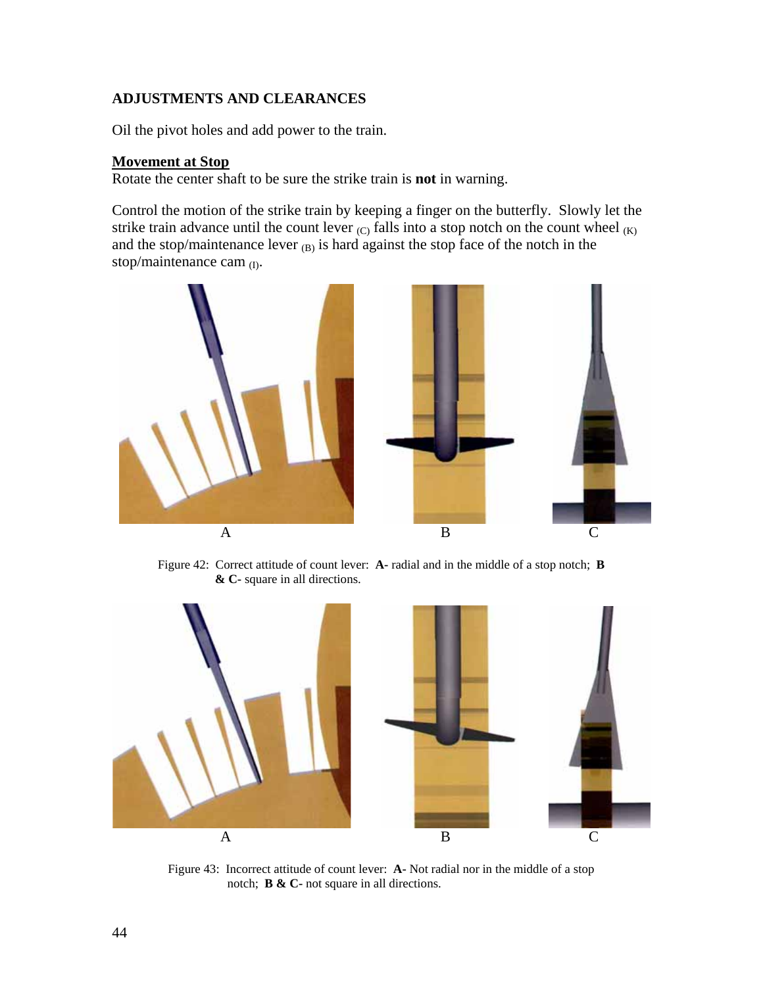# **ADJUSTMENTS AND CLEARANCES**

Oil the pivot holes and add power to the train.

## **Movement at Stop**

Rotate the center shaft to be sure the strike train is **not** in warning.

Control the motion of the strike train by keeping a finger on the butterfly. Slowly let the strike train advance until the count lever  $(C)$  falls into a stop notch on the count wheel  $(K)$ and the stop/maintenance lever  $_{(B)}$  is hard against the stop face of the notch in the stop/maintenance cam (I).



Figure 42: Correct attitude of count lever: **A-** radial and in the middle of a stop notch; **B & C-** square in all directions.



Figure 43: Incorrect attitude of count lever: **A-** Not radial nor in the middle of a stop notch; **B & C-** not square in all directions.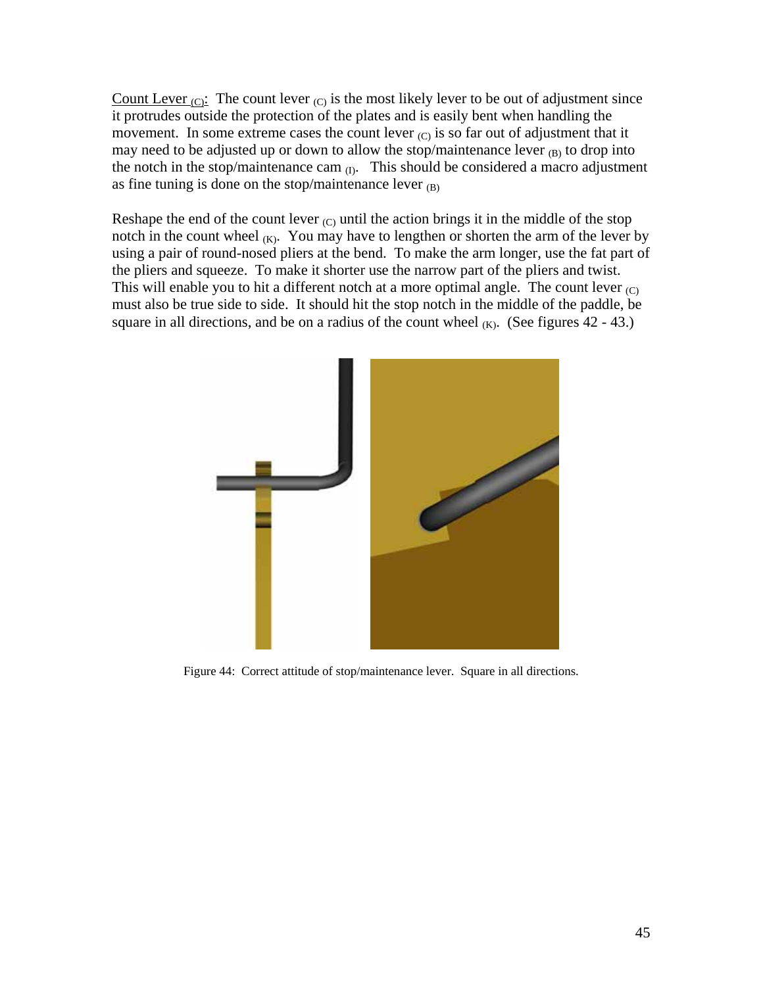Count Lever  $(C)$ : The count lever  $(C)$  is the most likely lever to be out of adjustment since it protrudes outside the protection of the plates and is easily bent when handling the movement. In some extreme cases the count lever  $(C)$  is so far out of adjustment that it may need to be adjusted up or down to allow the stop/maintenance lever (B) to drop into the notch in the stop/maintenance cam  $_{(I)}$ . This should be considered a macro adjustment as fine tuning is done on the stop/maintenance lever  $(B)$ 

Reshape the end of the count lever  $(C)$  until the action brings it in the middle of the stop notch in the count wheel  $(K)$ . You may have to lengthen or shorten the arm of the lever by using a pair of round-nosed pliers at the bend. To make the arm longer, use the fat part of the pliers and squeeze. To make it shorter use the narrow part of the pliers and twist. This will enable you to hit a different notch at a more optimal angle. The count lever  $(C)$ must also be true side to side. It should hit the stop notch in the middle of the paddle, be square in all directions, and be on a radius of the count wheel  $(K)$ . (See figures 42 - 43.)



Figure 44: Correct attitude of stop/maintenance lever. Square in all directions.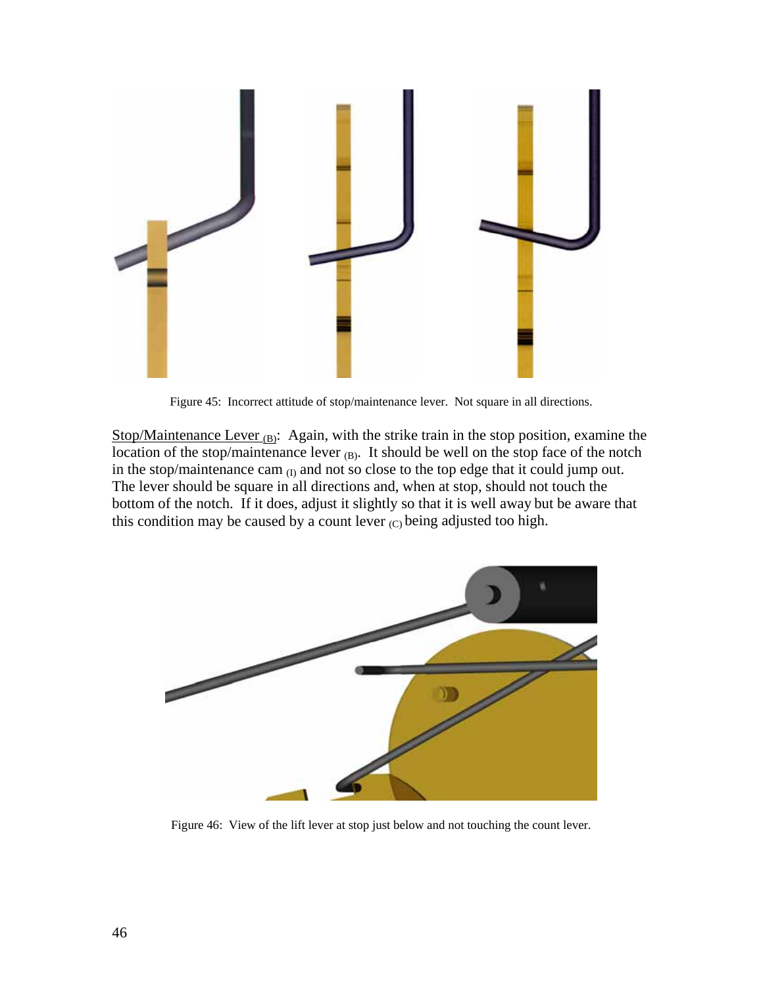

Figure 45: Incorrect attitude of stop/maintenance lever. Not square in all directions.

Stop/Maintenance Lever  $(B)$ : Again, with the strike train in the stop position, examine the location of the stop/maintenance lever (B). It should be well on the stop face of the notch in the stop/maintenance cam  $_{(I)}$  and not so close to the top edge that it could jump out. The lever should be square in all directions and, when at stop, should not touch the bottom of the notch. If it does, adjust it slightly so that it is well away but be aware that this condition may be caused by a count lever  $(C)$  being adjusted too high.



Figure 46: View of the lift lever at stop just below and not touching the count lever.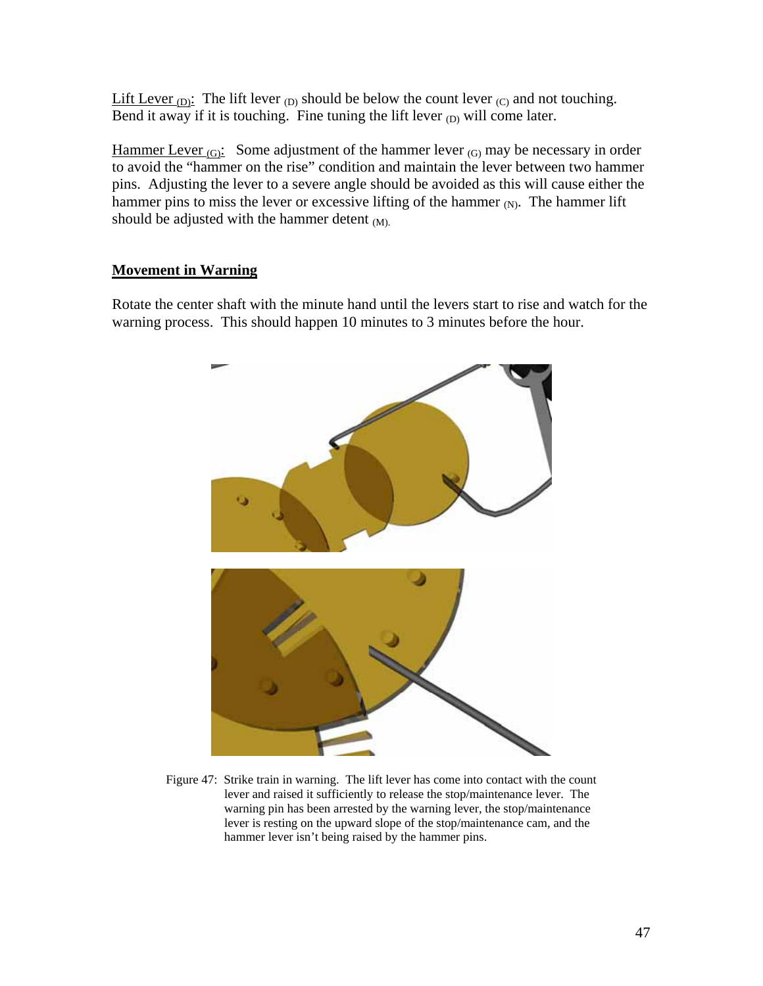Lift Lever  $(D)$ : The lift lever  $(D)$  should be below the count lever  $(C)$  and not touching. Bend it away if it is touching. Fine tuning the lift lever  $_D$  will come later.

Hammer Lever  $(G)$ : Some adjustment of the hammer lever  $(G)$  may be necessary in order to avoid the "hammer on the rise" condition and maintain the lever between two hammer pins. Adjusting the lever to a severe angle should be avoided as this will cause either the hammer pins to miss the lever or excessive lifting of the hammer  $_N$ . The hammer lift should be adjusted with the hammer detent  $(M)$ .

# **Movement in Warning**

Rotate the center shaft with the minute hand until the levers start to rise and watch for the warning process. This should happen 10 minutes to 3 minutes before the hour.



Figure 47: Strike train in warning. The lift lever has come into contact with the count lever and raised it sufficiently to release the stop/maintenance lever. The warning pin has been arrested by the warning lever, the stop/maintenance lever is resting on the upward slope of the stop/maintenance cam, and the hammer lever isn't being raised by the hammer pins.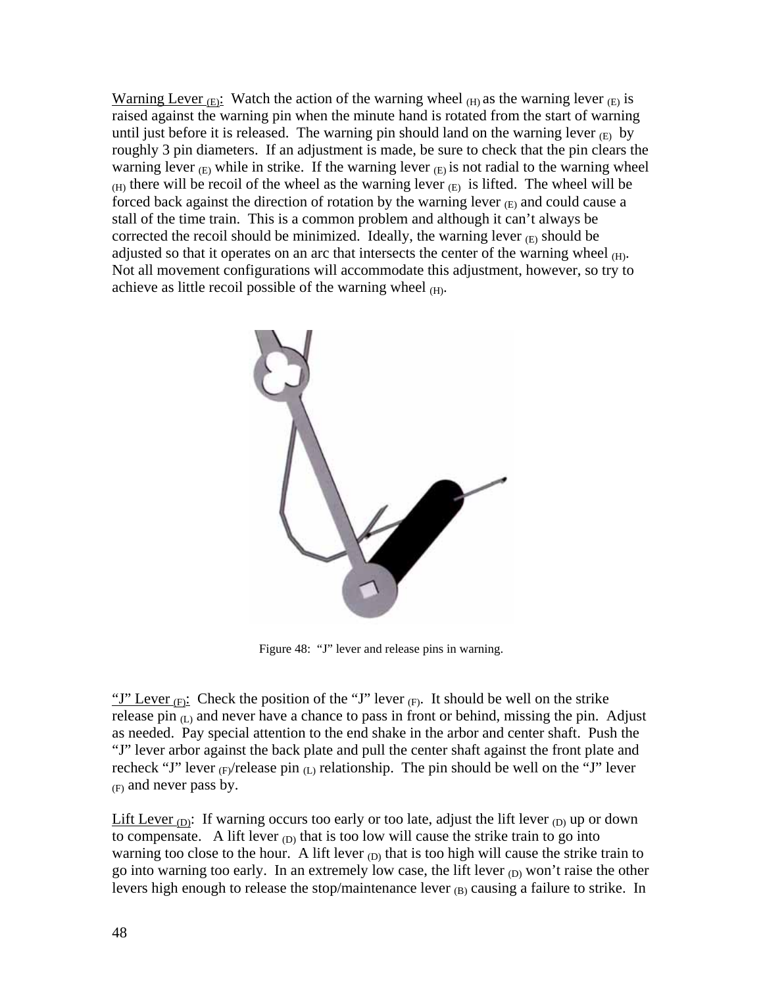Warning Lever  $(E)$ : Watch the action of the warning wheel  $(H)$  as the warning lever  $(E)$  is raised against the warning pin when the minute hand is rotated from the start of warning until just before it is released. The warning pin should land on the warning lever  $(E)$  by roughly 3 pin diameters. If an adjustment is made, be sure to check that the pin clears the warning lever  $(E)$  while in strike. If the warning lever  $(E)$  is not radial to the warning wheel  $_{(H)}$  there will be recoil of the wheel as the warning lever  $_{(E)}$  is lifted. The wheel will be forced back against the direction of rotation by the warning lever  $_{\text{(E)}}$  and could cause a stall of the time train. This is a common problem and although it can't always be corrected the recoil should be minimized. Ideally, the warning lever  $(E)$  should be adjusted so that it operates on an arc that intersects the center of the warning wheel  $(H)$ . Not all movement configurations will accommodate this adjustment, however, so try to achieve as little recoil possible of the warning wheel  $(H)$ .



Figure 48: "J" lever and release pins in warning.

"J" Lever  $(F)$ : Check the position of the "J" lever  $(F)$ . It should be well on the strike release pin  $(L)$  and never have a chance to pass in front or behind, missing the pin. Adjust as needed. Pay special attention to the end shake in the arbor and center shaft. Push the "J" lever arbor against the back plate and pull the center shaft against the front plate and recheck "J" lever  $_{(F)}$ /release pin  $_{(L)}$  relationship. The pin should be well on the "J" lever (F) and never pass by.

Lift Lever  $(D)$ : If warning occurs too early or too late, adjust the lift lever  $(D)$  up or down to compensate. A lift lever  $_{(D)}$  that is too low will cause the strike train to go into warning too close to the hour. A lift lever  $_{(D)}$  that is too high will cause the strike train to go into warning too early. In an extremely low case, the lift lever  $_{(D)}$  won't raise the other levers high enough to release the stop/maintenance lever  $_{(B)}$  causing a failure to strike. In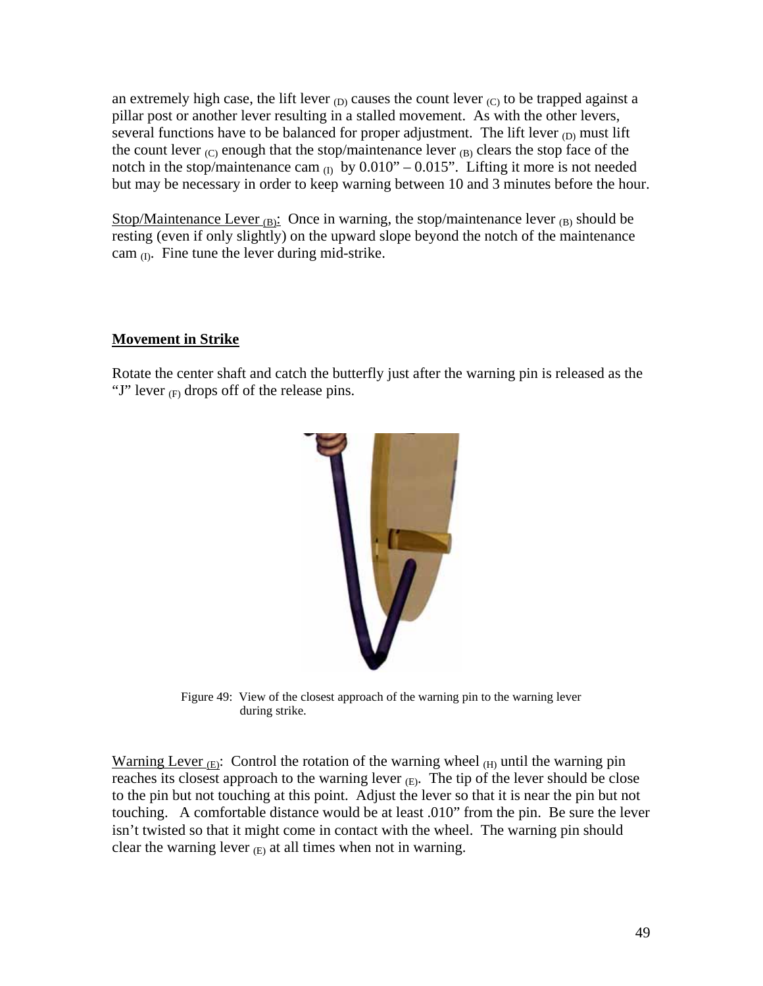an extremely high case, the lift lever  $_{(D)}$  causes the count lever  $_{(C)}$  to be trapped against a pillar post or another lever resulting in a stalled movement. As with the other levers, several functions have to be balanced for proper adjustment. The lift lever  $_{(D)}$  must lift the count lever  $(C)$  enough that the stop/maintenance lever  $(B)$  clears the stop face of the notch in the stop/maintenance cam  $_{(1)}$  by 0.010" – 0.015". Lifting it more is not needed but may be necessary in order to keep warning between 10 and 3 minutes before the hour.

Stop/Maintenance Lever  $_{(B)}$ : Once in warning, the stop/maintenance lever  $_{(B)}$  should be resting (even if only slightly) on the upward slope beyond the notch of the maintenance cam  $(I)$ . Fine tune the lever during mid-strike.

# **Movement in Strike**

Rotate the center shaft and catch the butterfly just after the warning pin is released as the "J" lever  $(F)$  drops off of the release pins.



Figure 49: View of the closest approach of the warning pin to the warning lever during strike.

Warning Lever  $_{\text{(E)}}$ : Control the rotation of the warning wheel  $_{\text{(H)}}$  until the warning pin reaches its closest approach to the warning lever  $(E)$ . The tip of the lever should be close to the pin but not touching at this point. Adjust the lever so that it is near the pin but not touching. A comfortable distance would be at least .010" from the pin. Be sure the lever isn't twisted so that it might come in contact with the wheel. The warning pin should clear the warning lever  $(E)$  at all times when not in warning.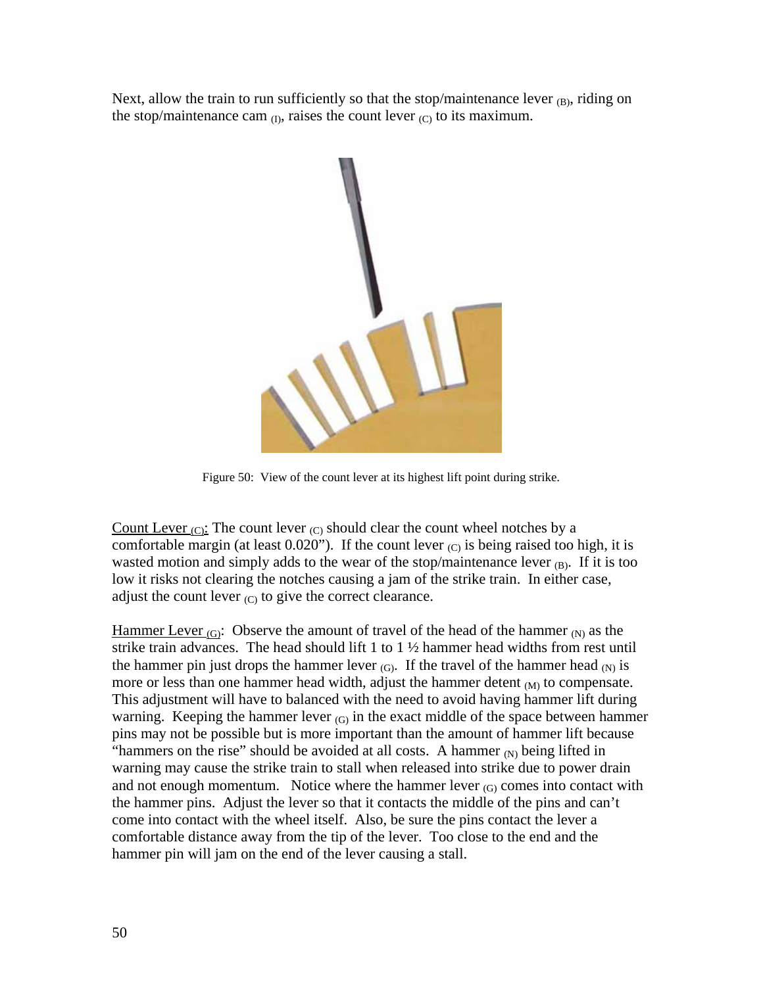Next, allow the train to run sufficiently so that the stop/maintenance lever  $_{(B)}$ , riding on the stop/maintenance cam  $_{(I)}$ , raises the count lever  $_{(C)}$  to its maximum.



Figure 50: View of the count lever at its highest lift point during strike.

Count Lever  $_{\text{(C)}}$ : The count lever  $_{\text{(C)}}$  should clear the count wheel notches by a comfortable margin (at least  $0.020$ "). If the count lever  $_{\rm (C)}$  is being raised too high, it is wasted motion and simply adds to the wear of the stop/maintenance lever  $(B)$ . If it is too low it risks not clearing the notches causing a jam of the strike train. In either case, adjust the count lever  $(C)$  to give the correct clearance.

Hammer Lever  $_{(G)}$ : Observe the amount of travel of the head of the hammer  $_{(N)}$  as the strike train advances. The head should lift 1 to  $1\frac{1}{2}$  hammer head widths from rest until the hammer pin just drops the hammer lever  $(G)$ . If the travel of the hammer head  $(N)$  is more or less than one hammer head width, adjust the hammer detent  $_{(M)}$  to compensate. This adjustment will have to balanced with the need to avoid having hammer lift during warning. Keeping the hammer lever  $(G)$  in the exact middle of the space between hammer pins may not be possible but is more important than the amount of hammer lift because "hammers on the rise" should be avoided at all costs. A hammer  $_N$  being lifted in warning may cause the strike train to stall when released into strike due to power drain and not enough momentum. Notice where the hammer lever  $(G)$  comes into contact with the hammer pins. Adjust the lever so that it contacts the middle of the pins and can't come into contact with the wheel itself. Also, be sure the pins contact the lever a comfortable distance away from the tip of the lever. Too close to the end and the hammer pin will jam on the end of the lever causing a stall.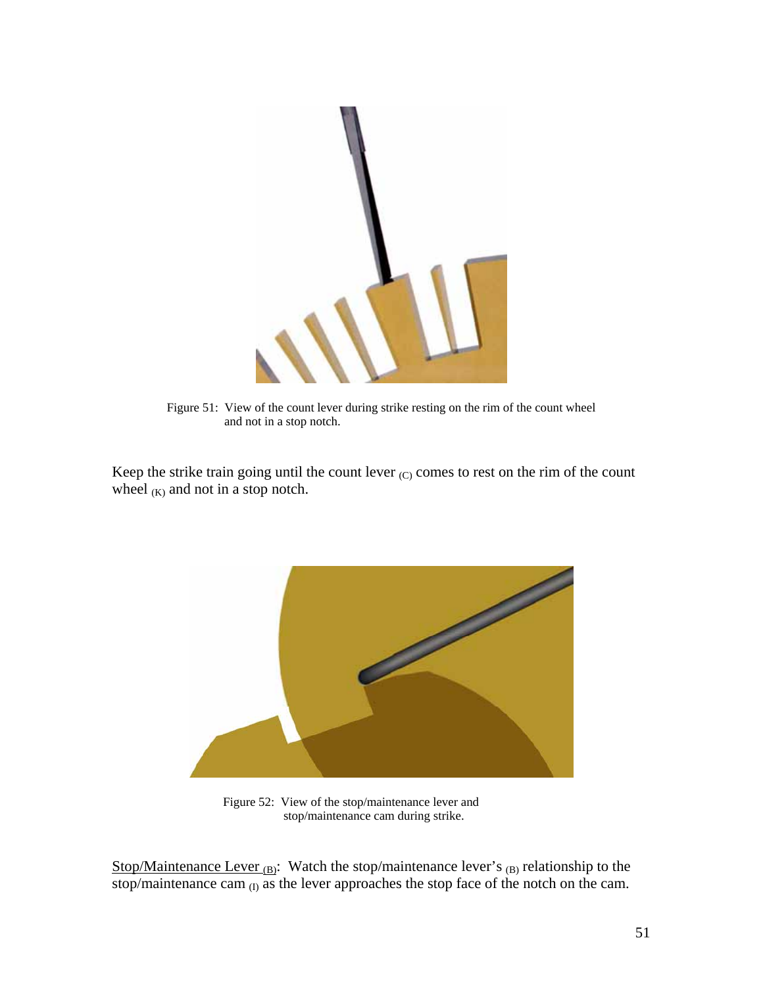

Figure 51: View of the count lever during strike resting on the rim of the count wheel and not in a stop notch.

Keep the strike train going until the count lever  $(C)$  comes to rest on the rim of the count wheel  $(K)$  and not in a stop notch.



 Figure 52: View of the stop/maintenance lever and stop/maintenance cam during strike.

Stop/Maintenance Lever  $_{(B)}$ : Watch the stop/maintenance lever's  $_{(B)}$  relationship to the stop/maintenance cam  $_{(1)}$  as the lever approaches the stop face of the notch on the cam.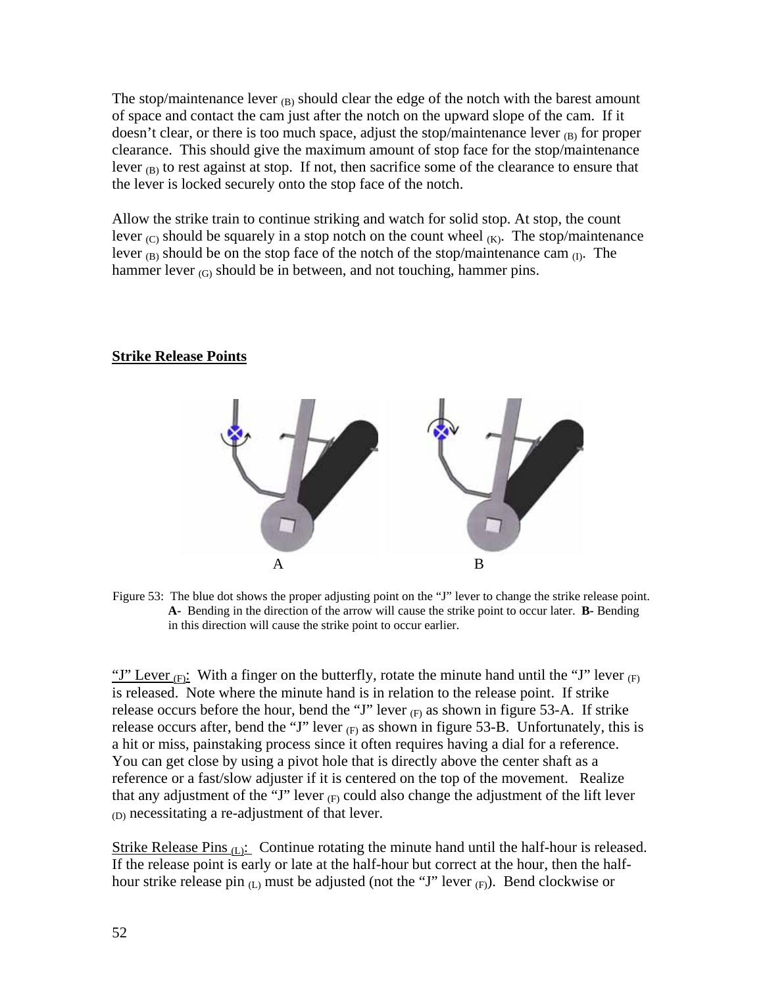The stop/maintenance lever  $_B$ ) should clear the edge of the notch with the barest amount of space and contact the cam just after the notch on the upward slope of the cam. If it doesn't clear, or there is too much space, adjust the stop/maintenance lever  $_{(B)}$  for proper clearance. This should give the maximum amount of stop face for the stop/maintenance lever  $_{(B)}$  to rest against at stop. If not, then sacrifice some of the clearance to ensure that the lever is locked securely onto the stop face of the notch.

Allow the strike train to continue striking and watch for solid stop. At stop, the count lever  $(C)$  should be squarely in a stop notch on the count wheel  $(K)$ . The stop/maintenance lever  $_{(B)}$  should be on the stop face of the notch of the stop/maintenance cam  $_{(I)}$ . The hammer lever  $(G)$  should be in between, and not touching, hammer pins.

#### **Strike Release Points**



Figure 53: The blue dot shows the proper adjusting point on the "J" lever to change the strike release point. **A-** Bending in the direction of the arrow will cause the strike point to occur later. **B-** Bending in this direction will cause the strike point to occur earlier.

"J" Lever  $(F)$ : With a finger on the butterfly, rotate the minute hand until the "J" lever  $(F)$ is released. Note where the minute hand is in relation to the release point. If strike release occurs before the hour, bend the "J" lever  $(F)$  as shown in figure 53-A. If strike release occurs after, bend the "J" lever  $(F)$  as shown in figure 53-B. Unfortunately, this is a hit or miss, painstaking process since it often requires having a dial for a reference. You can get close by using a pivot hole that is directly above the center shaft as a reference or a fast/slow adjuster if it is centered on the top of the movement. Realize that any adjustment of the "J" lever  $_{(F)}$  could also change the adjustment of the lift lever (D) necessitating a re-adjustment of that lever.

Strike Release Pins  $(L)$ : Continue rotating the minute hand until the half-hour is released. If the release point is early or late at the half-hour but correct at the hour, then the halfhour strike release pin  $(L)$  must be adjusted (not the "J" lever  $(F)$ ). Bend clockwise or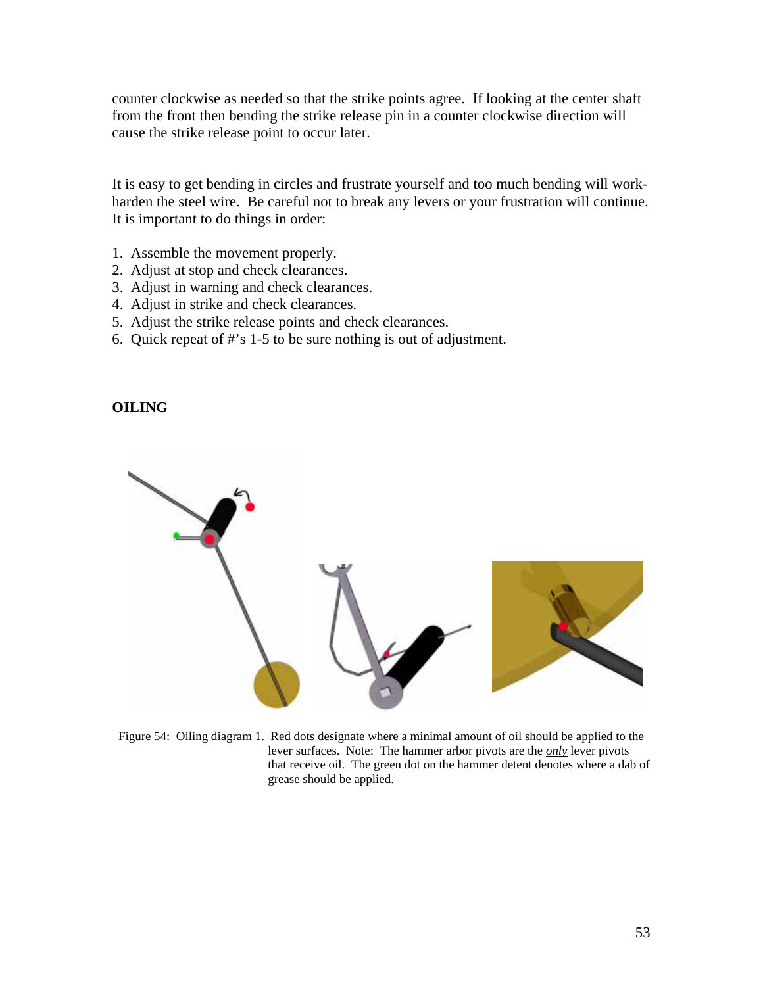counter clockwise as needed so that the strike points agree. If looking at the center shaft from the front then bending the strike release pin in a counter clockwise direction will cause the strike release point to occur later.

It is easy to get bending in circles and frustrate yourself and too much bending will workharden the steel wire. Be careful not to break any levers or your frustration will continue. It is important to do things in order:

- 1. Assemble the movement properly.
- 2. Adjust at stop and check clearances.
- 3. Adjust in warning and check clearances.
- 4. Adjust in strike and check clearances.
- 5. Adjust the strike release points and check clearances.
- 6. Quick repeat of #'s 1-5 to be sure nothing is out of adjustment.

## **OILING**



Figure 54: Oiling diagram 1. Red dots designate where a minimal amount of oil should be applied to the lever surfaces. Note: The hammer arbor pivots are the *only* lever pivots that receive oil. The green dot on the hammer detent denotes where a dab of grease should be applied.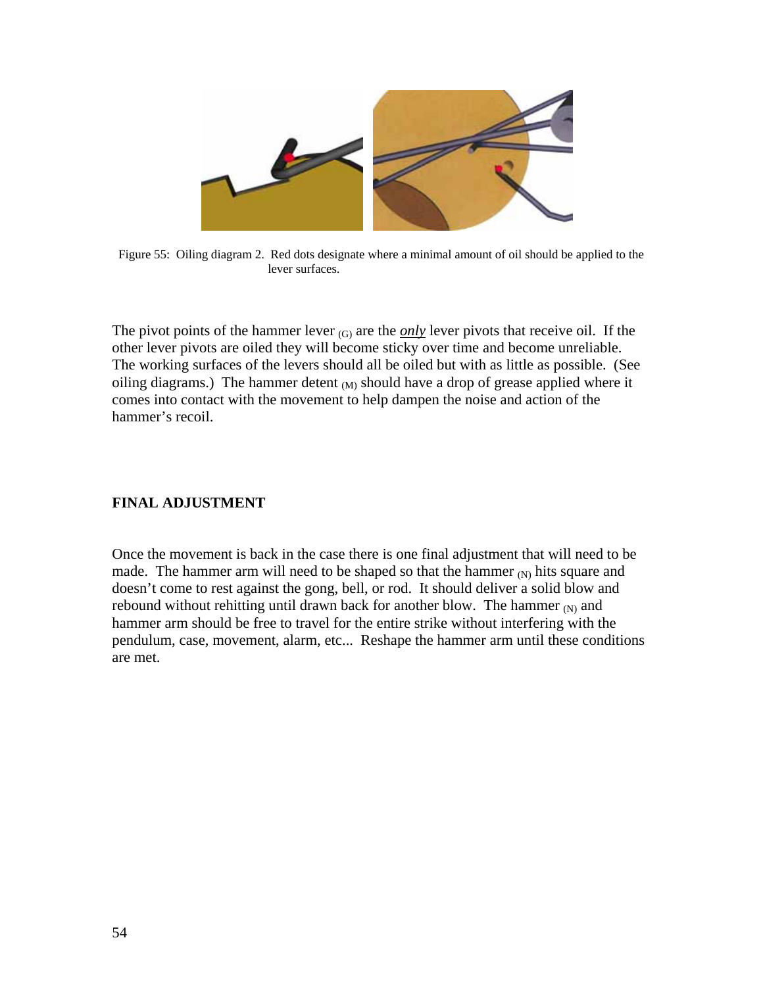

Figure 55: Oiling diagram 2. Red dots designate where a minimal amount of oil should be applied to the lever surfaces.

The pivot points of the hammer lever  $(G)$  are the *only* lever pivots that receive oil. If the other lever pivots are oiled they will become sticky over time and become unreliable. The working surfaces of the levers should all be oiled but with as little as possible. (See oiling diagrams.) The hammer detent  $(M)$  should have a drop of grease applied where it comes into contact with the movement to help dampen the noise and action of the hammer's recoil.

# **FINAL ADJUSTMENT**

Once the movement is back in the case there is one final adjustment that will need to be made. The hammer arm will need to be shaped so that the hammer  $(N)$  hits square and doesn't come to rest against the gong, bell, or rod. It should deliver a solid blow and rebound without rehitting until drawn back for another blow. The hammer  $_N$  and hammer arm should be free to travel for the entire strike without interfering with the pendulum, case, movement, alarm, etc... Reshape the hammer arm until these conditions are met.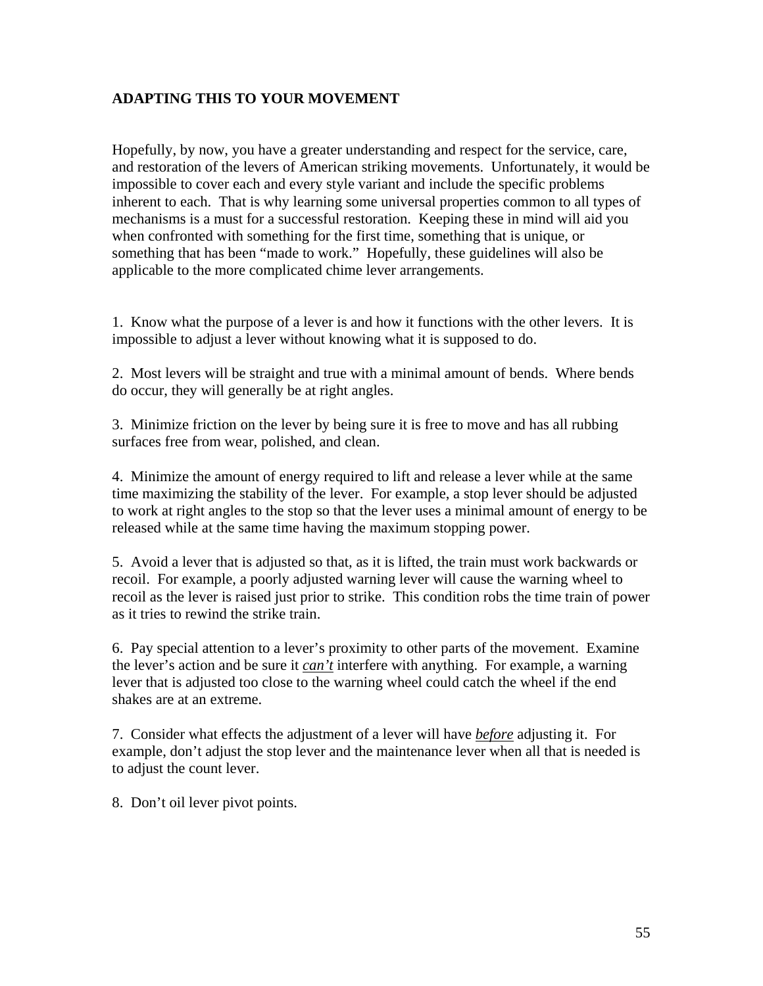# **ADAPTING THIS TO YOUR MOVEMENT**

Hopefully, by now, you have a greater understanding and respect for the service, care, and restoration of the levers of American striking movements. Unfortunately, it would be impossible to cover each and every style variant and include the specific problems inherent to each. That is why learning some universal properties common to all types of mechanisms is a must for a successful restoration. Keeping these in mind will aid you when confronted with something for the first time, something that is unique, or something that has been "made to work." Hopefully, these guidelines will also be applicable to the more complicated chime lever arrangements.

1. Know what the purpose of a lever is and how it functions with the other levers. It is impossible to adjust a lever without knowing what it is supposed to do.

2. Most levers will be straight and true with a minimal amount of bends. Where bends do occur, they will generally be at right angles.

3. Minimize friction on the lever by being sure it is free to move and has all rubbing surfaces free from wear, polished, and clean.

4. Minimize the amount of energy required to lift and release a lever while at the same time maximizing the stability of the lever. For example, a stop lever should be adjusted to work at right angles to the stop so that the lever uses a minimal amount of energy to be released while at the same time having the maximum stopping power.

5. Avoid a lever that is adjusted so that, as it is lifted, the train must work backwards or recoil. For example, a poorly adjusted warning lever will cause the warning wheel to recoil as the lever is raised just prior to strike. This condition robs the time train of power as it tries to rewind the strike train.

6. Pay special attention to a lever's proximity to other parts of the movement. Examine the lever's action and be sure it *can't* interfere with anything. For example, a warning lever that is adjusted too close to the warning wheel could catch the wheel if the end shakes are at an extreme.

7. Consider what effects the adjustment of a lever will have *before* adjusting it. For example, don't adjust the stop lever and the maintenance lever when all that is needed is to adjust the count lever.

8. Don't oil lever pivot points.